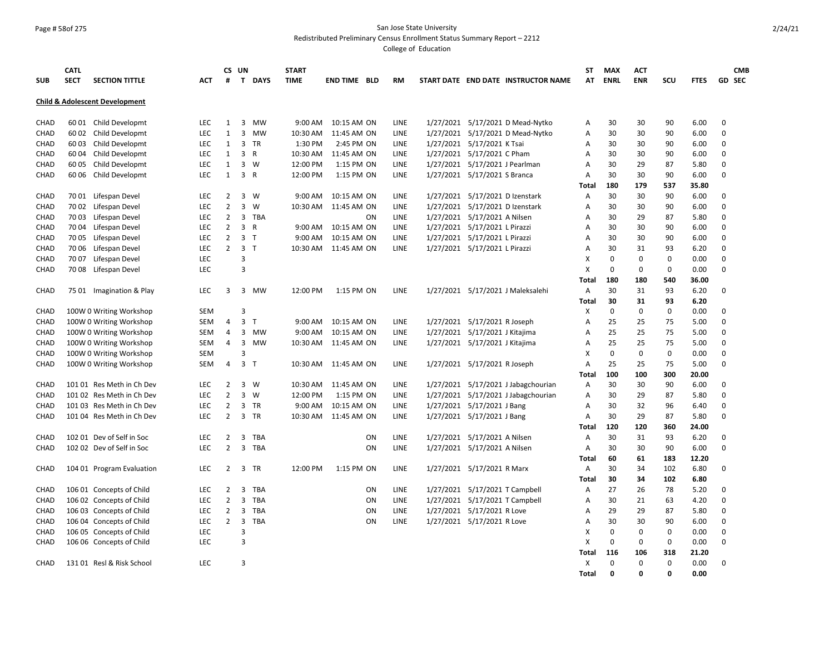# Page # 58of 275 San Jose State University

Redistributed Preliminary Census Enrollment Status Summary Report – 2212

| <b>SUB</b>  | <b>CATL</b><br><b>SECT</b> | <b>SECTION TITTLE</b>                     | <b>ACT</b> | #              | CS UN          | T DAYS         | <b>START</b><br><b>TIME</b> | <b>END TIME BLD</b>   |           | <b>RM</b>   | START DATE END DATE INSTRUCTOR NAME | <b>ST</b><br>AT           | <b>MAX</b><br><b>ENRL</b> | <b>ACT</b><br><b>ENR</b> | SCU          | <b>FTES</b>   |                      | <b>CMB</b><br><b>GD SEC</b> |
|-------------|----------------------------|-------------------------------------------|------------|----------------|----------------|----------------|-----------------------------|-----------------------|-----------|-------------|-------------------------------------|---------------------------|---------------------------|--------------------------|--------------|---------------|----------------------|-----------------------------|
|             |                            | <b>Child &amp; Adolescent Development</b> |            |                |                |                |                             |                       |           |             |                                     |                           |                           |                          |              |               |                      |                             |
| CHAD        | 60 01                      | Child Developmt                           | <b>LEC</b> | $\mathbf{1}$   | 3              | <b>MW</b>      | 9:00 AM                     | 10:15 AM ON           |           | LINE        | 1/27/2021 5/17/2021 D Mead-Nytko    | Α                         | 30                        | 30                       | 90           | 6.00          | $\Omega$             |                             |
| CHAD        | 60 02                      | Child Developmt                           | <b>LEC</b> | $\mathbf{1}$   | $\overline{3}$ | MW             | 10:30 AM                    | 11:45 AM ON           |           | LINE        | 1/27/2021 5/17/2021 D Mead-Nytko    | Α                         | 30                        | 30                       | 90           | 6.00          | $\Omega$             |                             |
| CHAD        | 6003                       | Child Developmt                           | LEC        | 1              | 3              | TR             | 1:30 PM                     | 2:45 PM ON            |           | LINE        | 1/27/2021 5/17/2021 K Tsai          | Α                         | 30                        | 30                       | 90           | 6.00          | 0                    |                             |
| <b>CHAD</b> | 6004                       | Child Developmt                           | <b>LEC</b> | $\mathbf{1}$   | 3              | $\mathsf{R}$   | 10:30 AM                    | 11:45 AM ON           |           | LINE        | 1/27/2021 5/17/2021 C Pham          | A                         | 30                        | 30                       | 90           | 6.00          | $\Omega$             |                             |
| CHAD        | 6005                       | Child Developmt                           | <b>LEC</b> | $\mathbf{1}$   | 3              | W              | 12:00 PM                    | 1:15 PM ON            |           | <b>LINE</b> | 1/27/2021 5/17/2021 J Pearlman      | $\overline{A}$            | 30                        | 29                       | 87           | 5.80          | $\Omega$             |                             |
| CHAD        | 6006                       | Child Developmt                           | <b>LEC</b> | $\mathbf{1}$   | $\overline{3}$ | R              | 12:00 PM                    | 1:15 PM ON            |           | LINE        | 1/27/2021 5/17/2021 S Branca        | Α                         | 30                        | 30                       | 90           | 6.00          | $\Omega$             |                             |
|             |                            |                                           |            |                |                |                |                             |                       |           |             |                                     | Total                     | 180                       | 179                      | 537          | 35.80         |                      |                             |
| <b>CHAD</b> |                            | 7001 Lifespan Devel                       | <b>LEC</b> | 2              | 3              | W              | 9:00 AM                     | 10:15 AM ON           |           | LINE        | 1/27/2021 5/17/2021 D Izenstark     | Α                         | 30                        | 30                       | 90           | 6.00          | $\Omega$             |                             |
| CHAD        | 70 02                      | Lifespan Devel                            | <b>LEC</b> | $\overline{2}$ | $\overline{3}$ | W              | 10:30 AM                    | 11:45 AM ON           |           | LINE        | 1/27/2021 5/17/2021 D Izenstark     | Α                         | 30                        | 30                       | 90           | 6.00          | $\Omega$             |                             |
| CHAD        | 7003                       | Lifespan Devel                            | <b>LEC</b> | $\overline{2}$ |                | 3 TBA          |                             |                       | ON        | LINE        | 1/27/2021 5/17/2021 A Nilsen        | Α                         | 30                        | 29                       | 87           | 5.80          | $\Omega$             |                             |
| CHAD        | 7004                       | Lifespan Devel                            | <b>LEC</b> | 2              | 3              | $\mathsf{R}$   | 9:00 AM                     | 10:15 AM ON           |           | LINE        | 1/27/2021 5/17/2021 L Pirazzi       | Α                         | 30                        | 30                       | 90           | 6.00          | $\Omega$             |                             |
| CHAD        | 7005                       | Lifespan Devel                            | <b>LEC</b> | 2              |                | 3 <sub>1</sub> | 9:00 AM                     | 10:15 AM ON           |           | LINE        | 1/27/2021 5/17/2021 L Pirazzi       | A                         | 30                        | 30                       | 90           | 6.00          | $\Omega$             |                             |
| CHAD        |                            | 70 06 Lifespan Devel                      | <b>LEC</b> | $\overline{2}$ |                | 3 <sub>T</sub> | 10:30 AM                    | 11:45 AM ON           |           | LINE        | 1/27/2021 5/17/2021 L Pirazzi       | $\overline{A}$            | 30                        | 31                       | 93           | 6.20          | $\Omega$             |                             |
| <b>CHAD</b> | 7007                       | Lifespan Devel                            | LEC        |                | 3              |                |                             |                       |           |             |                                     | X                         | 0                         | $\mathbf 0$              | 0            | 0.00          | $\mathbf 0$          |                             |
| CHAD        | 70 08                      | Lifespan Devel                            | <b>LEC</b> |                | $\overline{3}$ |                |                             |                       |           |             |                                     | $\boldsymbol{\mathsf{x}}$ | $\mathbf 0$               | 0                        | $\mathsf 0$  | 0.00          | $\Omega$             |                             |
|             |                            |                                           |            |                |                |                |                             |                       |           |             |                                     | Total                     | 180                       | 180                      | 540          | 36.00         |                      |                             |
| CHAD        |                            | 75 01 Imagination & Play                  | <b>LEC</b> | 3              |                | 3 MW           | 12:00 PM                    | 1:15 PM ON            |           | LINE        | 1/27/2021 5/17/2021 J Maleksalehi   | $\overline{A}$            | 30                        | 31                       | 93           | 6.20          | $\Omega$             |                             |
|             |                            |                                           |            |                |                |                |                             |                       |           |             |                                     | Total                     | 30                        | 31                       | 93           | 6.20          |                      |                             |
| CHAD        |                            | 100W 0 Writing Workshop                   | <b>SEM</b> |                | 3              |                |                             |                       |           |             |                                     | X                         | 0                         | 0                        | 0            | 0.00          | 0                    |                             |
| CHAD        |                            | 100W 0 Writing Workshop                   | <b>SEM</b> | 4              | 3              | T              | 9:00 AM                     | 10:15 AM ON           |           | LINE        | 1/27/2021 5/17/2021 R Joseph        | $\overline{A}$            | 25                        | 25                       | 75           | 5.00          | $\Omega$             |                             |
| CHAD        |                            | 100W 0 Writing Workshop                   | <b>SEM</b> | 4              | 3              | <b>MW</b>      | 9:00 AM                     | 10:15 AM ON           |           | LINE        | 1/27/2021 5/17/2021 J Kitajima      | A                         | 25                        | 25                       | 75           | 5.00          | $\Omega$             |                             |
| CHAD        |                            | 100W 0 Writing Workshop                   | <b>SEM</b> | 4              | 3              | <b>MW</b>      | 10:30 AM                    | 11:45 AM ON           |           | LINE        | 1/27/2021 5/17/2021 J Kitajima      | Α                         | 25                        | 25                       | 75           | 5.00          | $\Omega$             |                             |
| CHAD        |                            | 100W 0 Writing Workshop                   | <b>SEM</b> |                | 3              |                |                             |                       |           |             |                                     | X                         | 0                         | 0                        | 0            | 0.00          | 0                    |                             |
| CHAD        |                            | 100W 0 Writing Workshop                   | SEM        | 4              | 3              | $\mathsf{T}$   | 10:30 AM                    | 11:45 AM ON           |           | LINE        | 1/27/2021 5/17/2021 R Joseph        | Α                         | 25                        | 25                       | 75           | 5.00          | $\Omega$             |                             |
|             |                            |                                           |            |                |                |                |                             |                       |           |             |                                     | Total                     | 100                       | 100                      | 300          | 20.00         |                      |                             |
| CHAD        |                            | 101 01 Res Meth in Ch Dev                 | <b>LEC</b> | 2              | $\overline{3}$ | W              | 10:30 AM                    | 11:45 AM ON           |           | LINE        | 1/27/2021 5/17/2021 J Jabagchourian | Α                         | 30                        | 30                       | 90           | 6.00          | $\Omega$             |                             |
| CHAD        |                            | 101 02 Res Meth in Ch Dev                 | LEC        | $\overline{2}$ | 3              | W              | 12:00 PM                    | 1:15 PM ON            |           | LINE        | 1/27/2021 5/17/2021 J Jabagchourian | Α                         | 30                        | 29                       | 87           | 5.80          | $\Omega$             |                             |
| CHAD        |                            | 101 03 Res Meth in Ch Dev                 | <b>LEC</b> | 2              | 3              | TR             | 9:00 AM                     | 10:15 AM ON           |           | LINE        | 1/27/2021 5/17/2021 J Bang          | Α                         | 30                        | 32                       | 96           | 6.40          | $\Omega$<br>$\Omega$ |                             |
| CHAD        |                            | 101 04 Res Meth in Ch Dev                 | <b>LEC</b> | 2              | $\overline{3}$ | TR             |                             | 10:30 AM  11:45 AM ON |           | LINE        | 1/27/2021 5/17/2021 J Bang          | $\overline{A}$            | 30                        | 29                       | 87           | 5.80          |                      |                             |
| CHAD        |                            | 102 01 Dev of Self in Soc                 | <b>LEC</b> | 2              | 3              | <b>TBA</b>     |                             |                       | ON        | LINE        | 1/27/2021 5/17/2021 A Nilsen        | <b>Total</b><br>Α         | 120<br>30                 | 120<br>31                | 360<br>93    | 24.00<br>6.20 | 0                    |                             |
| CHAD        |                            | 102 02 Dev of Self in Soc                 | <b>LEC</b> | $\overline{2}$ | 3              | TBA            |                             |                       | ON        | LINE        |                                     | $\overline{A}$            | 30                        | 30                       | 90           | 6.00          | $\Omega$             |                             |
|             |                            |                                           |            |                |                |                |                             |                       |           |             | 1/27/2021 5/17/2021 A Nilsen        | <b>Total</b>              | 60                        | 61                       | 183          | 12.20         |                      |                             |
| CHAD        |                            | 104 01 Program Evaluation                 | LEC        | 2              | 3              | TR             | 12:00 PM                    | 1:15 PM ON            |           | LINE        | 1/27/2021 5/17/2021 R Marx          | Α                         | 30                        | 34                       | 102          | 6.80          | $\Omega$             |                             |
|             |                            |                                           |            |                |                |                |                             |                       |           |             |                                     | Total                     | 30                        | 34                       | 102          | 6.80          |                      |                             |
| CHAD        |                            | 106 01 Concepts of Child                  | <b>LEC</b> | $\overline{2}$ | 3              | <b>TBA</b>     |                             |                       | <b>ON</b> | LINE        | 1/27/2021 5/17/2021 T Campbell      | Α                         | 27                        | 26                       | 78           | 5.20          | $\Omega$             |                             |
| CHAD        |                            | 106 02 Concepts of Child                  | <b>LEC</b> | $\overline{2}$ | 3              | TBA            |                             |                       | ON        | LINE        | 1/27/2021 5/17/2021 T Campbell      | Α                         | 30                        | 21                       | 63           | 4.20          | $\Omega$             |                             |
| CHAD        |                            | 106 03 Concepts of Child                  | LEC        | $\overline{2}$ | 3              | TBA            |                             |                       | ON        | LINE        | 1/27/2021 5/17/2021 R Love          | Α                         | 29                        | 29                       | 87           | 5.80          | $\Omega$             |                             |
| CHAD        |                            | 106 04 Concepts of Child                  | <b>LEC</b> | 2              | $\overline{3}$ | <b>TBA</b>     |                             |                       | ON        | LINE        | 1/27/2021 5/17/2021 R Love          | Α                         | 30                        | 30                       | 90           | 6.00          | 0                    |                             |
| CHAD        |                            | 106 05 Concepts of Child                  | <b>LEC</b> |                | 3              |                |                             |                       |           |             |                                     | X                         | $\mathbf 0$               | $\mathbf 0$              | 0            | 0.00          | $\Omega$             |                             |
| CHAD        |                            | 106 06 Concepts of Child                  | <b>LEC</b> |                | 3              |                |                             |                       |           |             |                                     | X                         | 0                         | 0                        | $\mathbf 0$  | 0.00          | $\Omega$             |                             |
|             |                            |                                           |            |                |                |                |                             |                       |           |             |                                     | Total                     | 116                       | 106                      | 318          | 21.20         |                      |                             |
| CHAD        |                            | 131 01 Resl & Risk School                 | <b>LEC</b> |                | 3              |                |                             |                       |           |             |                                     | X                         | 0                         | 0                        | $\mathbf 0$  | 0.00          | 0                    |                             |
|             |                            |                                           |            |                |                |                |                             |                       |           |             |                                     | Total                     | 0                         | 0                        | $\mathbf{0}$ | 0.00          |                      |                             |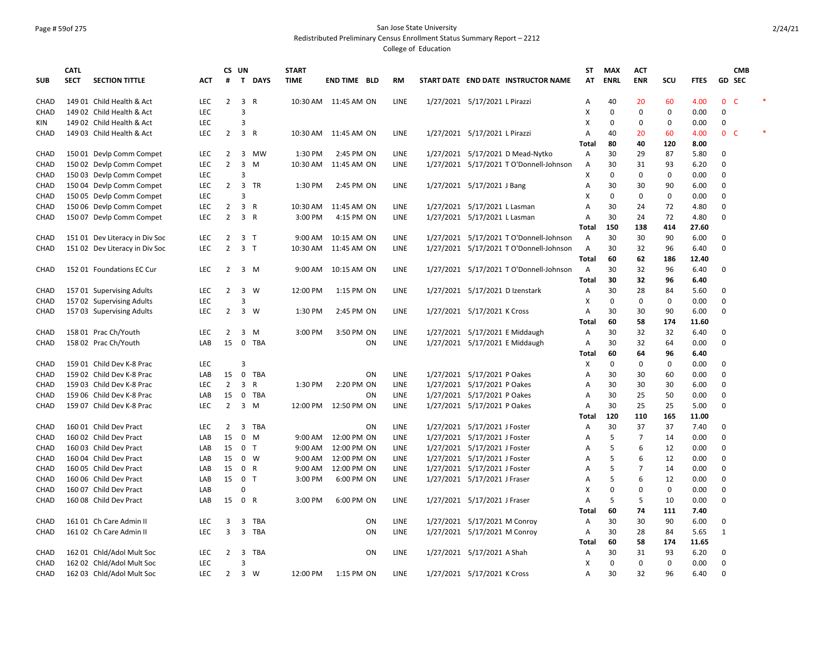# Page # 59of 275 San Jose State University

Redistributed Preliminary Census Enrollment Status Summary Report – 2212

|            | <b>CATL</b> |                                |            |                | CS UN          |                | <b>START</b>      |                       |    |             |                                         | <b>ST</b>      | <b>MAX</b>  | <b>ACT</b>     |             |             | <b>CMB</b>                   |  |
|------------|-------------|--------------------------------|------------|----------------|----------------|----------------|-------------------|-----------------------|----|-------------|-----------------------------------------|----------------|-------------|----------------|-------------|-------------|------------------------------|--|
| <b>SUB</b> | <b>SECT</b> | <b>SECTION TITTLE</b>          | <b>ACT</b> | #              |                | T DAYS         | <b>TIME</b>       | <b>END TIME BLD</b>   |    | RM          | START DATE END DATE INSTRUCTOR NAME     | AT             | <b>ENRL</b> | <b>ENR</b>     | SCU         | <b>FTES</b> | <b>GD SEC</b>                |  |
| CHAD       |             | 149 01 Child Health & Act      | LEC        | $\overline{2}$ | $\overline{3}$ | $\mathsf{R}$   |                   | 10:30 AM  11:45 AM ON |    | LINE        | 1/27/2021 5/17/2021 L Pirazzi           | Α              | 40          | 20             | 60          | 4.00        | $\mathbf{0}$<br>$\mathsf{C}$ |  |
| CHAD       |             | 149 02 Child Health & Act      | <b>LEC</b> |                | 3              |                |                   |                       |    |             |                                         | х              | 0           | 0              | 0           | 0.00        | 0                            |  |
| KIN        |             | 149 02 Child Health & Act      | <b>LEC</b> |                | 3              |                |                   |                       |    |             |                                         | X              | 0           | 0              | 0           | 0.00        | 0                            |  |
| CHAD       |             | 149 03 Child Health & Act      | LEC        | 2              |                | 3 R            |                   | 10:30 AM  11:45 AM ON |    | LINE        | 1/27/2021 5/17/2021 L Pirazzi           | Α              | 40          | 20             | 60          | 4.00        | $\mathbf{0}$<br><b>C</b>     |  |
|            |             |                                |            |                |                |                |                   |                       |    |             |                                         | Total          | 80          | 40             | 120         | 8.00        |                              |  |
| CHAD       |             | 150 01 Devlp Comm Compet       | <b>LEC</b> | 2              | 3              | <b>MW</b>      | 1:30 PM           | 2:45 PM ON            |    | LINE        | 1/27/2021 5/17/2021 D Mead-Nytko        | A              | 30          | 29             | 87          | 5.80        | 0                            |  |
| CHAD       |             | 150 02 Devlp Comm Compet       | <b>LEC</b> | $\overline{2}$ | 3              | M              | 10:30 AM          | 11:45 AM ON           |    | LINE        | 1/27/2021 5/17/2021 T O'Donnell-Johnson | Α              | 30          | 31             | 93          | 6.20        | 0                            |  |
| CHAD       |             | 150 03 Devlp Comm Compet       | <b>LEC</b> |                | 3              |                |                   |                       |    |             |                                         | х              | 0           | 0              | 0           | 0.00        | 0                            |  |
| CHAD       |             | 150 04 Devlp Comm Compet       | <b>LEC</b> | $\overline{2}$ | $\overline{3}$ | TR             | 1:30 PM           | 2:45 PM ON            |    | LINE        | 1/27/2021 5/17/2021 J Bang              | Α              | 30          | 30             | 90          | 6.00        | 0                            |  |
| CHAD       |             | 150 05 Devlp Comm Compet       | <b>LEC</b> |                | 3              |                |                   |                       |    |             |                                         | X              | 0           | 0              | 0           | 0.00        | 0                            |  |
| CHAD       |             | 150 06 Devlp Comm Compet       | <b>LEC</b> | 2              |                | 3 R            | 10:30 AM          | 11:45 AM ON           |    | LINE        | 1/27/2021 5/17/2021 L Lasman            | A              | 30          | 24             | 72          | 4.80        | 0                            |  |
| CHAD       |             | 150 07 Devlp Comm Compet       | <b>LEC</b> | 2              |                | 3 R            | 3:00 PM           | 4:15 PM ON            |    | LINE        | 1/27/2021 5/17/2021 L Lasman            | Α              | 30          | 24             | 72          | 4.80        | 0                            |  |
|            |             |                                |            |                |                |                |                   |                       |    |             |                                         | Total          | 150         | 138            | 414         | 27.60       |                              |  |
| CHAD       |             | 151 01 Dev Literacy in Div Soc | <b>LEC</b> | 2              |                | 3 <sub>T</sub> | 9:00 AM           | 10:15 AM ON           |    | LINE        | 1/27/2021 5/17/2021 T O'Donnell-Johnson | Α              | 30          | 30             | 90          | 6.00        | 0                            |  |
| CHAD       |             | 151 02 Dev Literacy in Div Soc | <b>LEC</b> | $\overline{2}$ |                | 3 <sub>T</sub> | 10:30 AM          | 11:45 AM ON           |    | LINE        | 1/27/2021 5/17/2021 T O'Donnell-Johnson | Α              | 30          | 32             | 96          | 6.40        | 0                            |  |
|            |             |                                |            |                |                |                |                   |                       |    |             |                                         | Total          | 60          | 62             | 186         | 12.40       |                              |  |
| CHAD       |             | 152 01 Foundations EC Cur      | LEC        | 2              |                | 3 M            | 9:00 AM           | 10:15 AM ON           |    | LINE        | 1/27/2021 5/17/2021 T O'Donnell-Johnson | Α              | 30          | 32             | 96          | 6.40        | 0                            |  |
|            |             |                                |            |                |                |                |                   |                       |    |             |                                         | Total          | 30          | 32             | 96          | 6.40        |                              |  |
| CHAD       |             | 157 01 Supervising Adults      | <b>LEC</b> | $\overline{2}$ |                | 3 W            | 12:00 PM          | 1:15 PM ON            |    | LINE        | 1/27/2021 5/17/2021 D Izenstark         | Α              | 30          | 28             | 84          | 5.60        | 0                            |  |
| CHAD       |             | 157 02 Supervising Adults      | LEC        |                | $\overline{3}$ |                |                   |                       |    |             |                                         | x              | $\Omega$    | $\mathbf 0$    | 0           | 0.00        | 0                            |  |
| CHAD       |             | 157 03 Supervising Adults      | <b>LEC</b> | $\overline{2}$ | 3              | W              | 1:30 PM           | 2:45 PM ON            |    | LINE        | 1/27/2021 5/17/2021 K Cross             | Α              | 30          | 30             | 90          | 6.00        | $\mathbf 0$                  |  |
|            |             |                                |            |                |                |                |                   |                       |    |             |                                         | Total          | 60          | 58             | 174         | 11.60       |                              |  |
| CHAD       |             | 158 01 Prac Ch/Youth           | <b>LEC</b> | 2              | 3              | M              | 3:00 PM           | 3:50 PM ON            |    | <b>LINE</b> | 1/27/2021 5/17/2021 E Middaugh          | A              | 30          | 32             | 32          | 6.40        | 0                            |  |
| CHAD       |             | 158 02 Prac Ch/Youth           | LAB        | 15             |                | 0 TBA          |                   |                       | ON | LINE        | 1/27/2021 5/17/2021 E Middaugh          | Α              | 30          | 32             | 64          | 0.00        | 0                            |  |
|            |             |                                |            |                |                |                |                   |                       |    |             |                                         | Total          | 60          | 64             | 96          | 6.40        |                              |  |
| CHAD       |             | 159 01 Child Dev K-8 Prac      | <b>LEC</b> |                | $\mathbf{R}$   |                |                   |                       |    |             |                                         | х              | 0           | 0              | $\mathbf 0$ | 0.00        | 0                            |  |
| CHAD       |             | 159 02 Child Dev K-8 Prac      | LAB        | 15             | 0              | TBA            |                   |                       | ON | LINE        | 1/27/2021 5/17/2021 P Oakes             | Α              | 30          | 30             | 60          | 0.00        | 0                            |  |
| CHAD       |             | 159 03 Child Dev K-8 Prac      | <b>LEC</b> | $\overline{2}$ | 3              | R              | 1:30 PM           | 2:20 PM ON            |    | LINE        | 1/27/2021 5/17/2021 P Oakes             | Α              | 30          | 30             | 30          | 6.00        | 0                            |  |
| CHAD       |             | 159 06 Child Dev K-8 Prac      | LAB        | 15             | $\mathbf 0$    | TBA            |                   |                       | ON | LINE        | 1/27/2021 5/17/2021 P Oakes             | Α              | 30          | 25             | 50          | 0.00        | 0                            |  |
| CHAD       |             | 159 07 Child Dev K-8 Prac      | LEC.       | $\overline{2}$ |                | $3 \, M$       | 12:00 PM          | 12:50 PM ON           |    | LINE        | 1/27/2021 5/17/2021 P Oakes             | Α              | 30          | 25             | 25          | 5.00        | 0                            |  |
|            |             |                                |            |                |                |                |                   |                       |    |             |                                         | Total          | 120         | 110            | 165         | 11.00       |                              |  |
| CHAD       |             | 160 01 Child Dev Pract         | <b>LEC</b> | $\overline{2}$ |                | 3 TBA          |                   |                       | ON | LINE        | 1/27/2021 5/17/2021 J Foster            | $\overline{A}$ | 30          | 37             | 37          | 7.40        | 0                            |  |
| CHAD       |             | 160 02 Child Dev Pract         | LAB        | 15             | $\mathbf{0}$   | M              | $9:00 \text{ AM}$ | 12:00 PM ON           |    | <b>LINE</b> | 1/27/2021 5/17/2021 J Foster            | A              | 5           | 7              | 14          | 0.00        | 0                            |  |
| CHAD       |             | 160 03 Child Dev Pract         | LAB        | 15             |                | 0 <sub>T</sub> | 9:00 AM           | 12:00 PM ON           |    | LINE        | 1/27/2021 5/17/2021 J Foster            | A              | 5           | 6              | 12          | 0.00        | 0                            |  |
| CHAD       |             | 160 04 Child Dev Pract         | LAB        | 15             |                | $0 \quad W$    | 9:00 AM           | 12:00 PM ON           |    | LINE        | 1/27/2021 5/17/2021 J Foster            | A              | 5           | 6              | 12          | 0.00        | 0                            |  |
| CHAD       |             | 160 05 Child Dev Pract         | LAB        | 15             |                | 0 R            | 9:00 AM           | 12:00 PM ON           |    | <b>LINE</b> | 1/27/2021 5/17/2021 J Foster            | A              | 5           | $\overline{7}$ | 14          | 0.00        | 0                            |  |
| CHAD       |             | 160 06 Child Dev Pract         | LAB        | 15             |                | 0 <sub>T</sub> | 3:00 PM           | 6:00 PM ON            |    | LINE        | 1/27/2021 5/17/2021 J Fraser            | A              | 5           | 6              | 12          | 0.00        | 0                            |  |
| CHAD       |             | 160 07 Child Dev Pract         | LAB        |                | ŋ              |                |                   |                       |    |             |                                         | X              | 0           | 0              | 0           | 0.00        | 0                            |  |
| CHAD       |             | 160 08 Child Dev Pract         | LAB        | 15             |                | 0 R            | 3:00 PM           | 6:00 PM ON            |    | LINE        | 1/27/2021 5/17/2021 J Fraser            | A              | 5           | 5              | 10          | 0.00        | 0                            |  |
|            |             |                                |            |                |                |                |                   |                       |    |             |                                         |                | 60          | 74             | 111         | 7.40        |                              |  |
|            |             |                                |            |                |                |                |                   |                       |    |             |                                         | Total          |             |                |             |             |                              |  |
| CHAD       |             | 161 01 Ch Care Admin II        | <b>LEC</b> | 3              | 3              | TBA            |                   |                       | ON | LINE        | 1/27/2021 5/17/2021 M Conroy            | Α              | 30          | 30             | 90          | 6.00        | 0                            |  |
| CHAD       |             | 161 02 Ch Care Admin II        | <b>LEC</b> | 3              | 3              | TBA            |                   |                       | ON | <b>LINE</b> | 1/27/2021 5/17/2021 M Conroy            | Α              | 30          | 28             | 84          | 5.65        | 1                            |  |
|            |             |                                |            |                |                |                |                   |                       |    |             |                                         | Total          | 60          | 58             | 174         | 11.65       |                              |  |
| CHAD       |             | 162 01 Chld/Adol Mult Soc      | <b>LEC</b> | 2              | 3              | TBA            |                   |                       | ON | LINE        | 1/27/2021 5/17/2021 A Shah              | Α              | 30          | 31             | 93          | 6.20        | 0                            |  |
| CHAD       |             | 162 02 Chld/Adol Mult Soc      | LEC        |                | 3              |                |                   |                       |    |             |                                         | Χ              | 0           | 0              | 0           | 0.00        | 0                            |  |
| CHAD       |             | 162 03 Chld/Adol Mult Soc      | <b>LEC</b> | $\overline{2}$ |                | 3 W            | 12:00 PM          | 1:15 PM ON            |    | <b>LINE</b> | 1/27/2021 5/17/2021 K Cross             | A              | 30          | 32             | 96          | 6.40        | $\Omega$                     |  |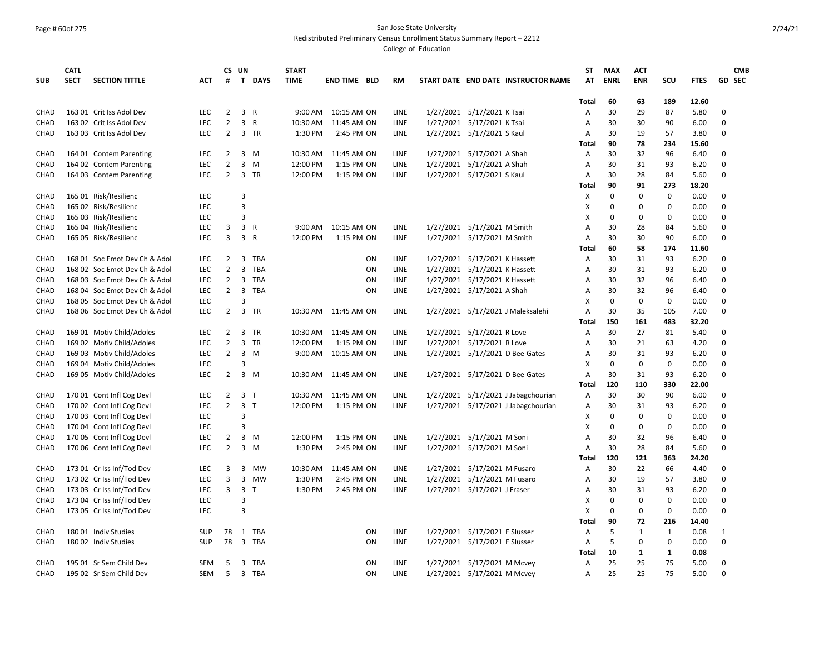# Page # 60of 275 San Jose State University

Redistributed Preliminary Census Enrollment Status Summary Report – 2212

|             | <b>CATL</b> |                               |            |                | CS UN          |                | <b>START</b> |                       |             |                                     | ST           | <b>MAX</b>  | <b>ACT</b>   |             |             |              | <b>CMB</b>    |
|-------------|-------------|-------------------------------|------------|----------------|----------------|----------------|--------------|-----------------------|-------------|-------------------------------------|--------------|-------------|--------------|-------------|-------------|--------------|---------------|
| <b>SUB</b>  | <b>SECT</b> | <b>SECTION TITTLE</b>         | <b>ACT</b> | #              |                | T DAYS         | <b>TIME</b>  | <b>END TIME BLD</b>   | <b>RM</b>   | START DATE END DATE INSTRUCTOR NAME | AT           | <b>ENRL</b> | <b>ENR</b>   | SCU         | <b>FTES</b> |              | <b>GD SEC</b> |
|             |             |                               |            |                |                |                |              |                       |             |                                     | <b>Total</b> | 60          | 63           | 189         | 12.60       |              |               |
| CHAD        |             | 163 01 Crit Iss Adol Dev      | LEC        | $\overline{2}$ | 3              | R              | 9:00 AM      | 10:15 AM ON           | LINE        | 1/27/2021 5/17/2021 K Tsai          | Α            | 30          | 29           | 87          | 5.80        | 0            |               |
| CHAD        |             | 163 02 Crit Iss Adol Dev      | LEC        | $\overline{2}$ | 3              | R              | 10:30 AM     | 11:45 AM ON           | LINE        | 1/27/2021 5/17/2021 K Tsai          | Α            | 30          | 30           | 90          | 6.00        | 0            |               |
| CHAD        |             | 163 03 Crit Iss Adol Dev      | LEC        | $\overline{2}$ |                | 3 TR           | 1:30 PM      | 2:45 PM ON            | LINE        | 1/27/2021 5/17/2021 S Kaul          | Α            | 30          | 19           | 57          | 3.80        | 0            |               |
|             |             |                               |            |                |                |                |              |                       |             |                                     | Total        | 90          | 78           | 234         | 15.60       |              |               |
| CHAD        |             | 164 01 Contem Parenting       | <b>LEC</b> | $\overline{2}$ |                | $3 \, M$       | 10:30 AM     | 11:45 AM ON           | LINE        | 1/27/2021 5/17/2021 A Shah          | Α            | 30          | 32           | 96          | 6.40        | 0            |               |
| CHAD        |             | 164 02 Contem Parenting       | LEC        | $\overline{2}$ | 3              | M              | 12:00 PM     | 1:15 PM ON            | LINE        | 1/27/2021 5/17/2021 A Shah          | Α            | 30          | 31           | 93          | 6.20        | 0            |               |
| CHAD        |             | 164 03 Contem Parenting       | <b>LEC</b> | $\overline{2}$ |                | 3 TR           | 12:00 PM     | 1:15 PM ON            | LINE        | 1/27/2021 5/17/2021 S Kaul          | Α            | 30          | 28           | 84          | 5.60        | 0            |               |
|             |             |                               |            |                |                |                |              |                       |             |                                     | Total        | 90          | 91           | 273         | 18.20       |              |               |
| <b>CHAD</b> |             | 165 01 Risk/Resilienc         | <b>LEC</b> |                | 3              |                |              |                       |             |                                     | X            | 0           | 0            | $\mathbf 0$ | 0.00        | 0            |               |
| CHAD        |             | 165 02 Risk/Resilienc         | <b>LEC</b> |                | $\overline{3}$ |                |              |                       |             |                                     | X            | $\Omega$    | $\Omega$     | $\Omega$    | 0.00        | 0            |               |
| CHAD        |             | 165 03 Risk/Resilienc         | LEC        |                | 3              |                |              |                       |             |                                     | X            | $\Omega$    | $\Omega$     | $\Omega$    | 0.00        | $\Omega$     |               |
| CHAD        |             | 165 04 Risk/Resilienc         | LEC        | 3              | 3              | R              | 9:00 AM      | 10:15 AM ON           | LINE        | 1/27/2021 5/17/2021 M Smith         | Α            | 30          | 28           | 84          | 5.60        | 0            |               |
| CHAD        |             | 165 05 Risk/Resilienc         | <b>LEC</b> | 3              | 3              | R              | 12:00 PM     | 1:15 PM ON            | LINE        | 1/27/2021 5/17/2021 M Smith         | Α            | 30          | 30           | 90          | 6.00        | 0            |               |
|             |             |                               |            |                |                |                |              |                       |             |                                     | Total        | 60          | 58           | 174         | 11.60       |              |               |
| CHAD        |             | 168 01 Soc Emot Dev Ch & Adol | <b>LEC</b> | $\overline{2}$ | 3              | <b>TBA</b>     |              | ON                    | <b>LINE</b> | 1/27/2021 5/17/2021 K Hassett       | Α            | 30          | 31           | 93          | 6.20        | 0            |               |
| CHAD        |             | 168 02 Soc Emot Dev Ch & Adol | LEC        | $\overline{2}$ | 3              | TBA            |              | ON                    | LINE        | 1/27/2021 5/17/2021 K Hassett       | Α            | 30          | 31           | 93          | 6.20        | 0            |               |
| CHAD        |             | 168 03 Soc Emot Dev Ch & Adol | <b>LEC</b> | $\overline{2}$ | 3              | TBA            |              | ON                    | LINE        | 1/27/2021 5/17/2021 K Hassett       | Α            | 30          | 32           | 96          | 6.40        | 0            |               |
| CHAD        |             | 168 04 Soc Emot Dev Ch & Adol | LEC        | $\overline{2}$ | 3              | TBA            |              | ON                    | LINE        | 1/27/2021 5/17/2021 A Shah          | Α            | 30          | 32           | 96          | 6.40        | 0            |               |
| CHAD        |             | 168 05 Soc Emot Dev Ch & Adol | LEC        |                | 3              |                |              |                       |             |                                     | X            | 0           | $\mathbf 0$  | $\mathbf 0$ | 0.00        | 0            |               |
| CHAD        |             | 168 06 Soc Emot Dev Ch & Adol | LEC        | $\overline{2}$ | $\overline{3}$ | TR             | 10:30 AM     | 11:45 AM ON           | LINE        | 1/27/2021 5/17/2021 J Maleksalehi   | A            | 30          | 35           | 105         | 7.00        | 0            |               |
|             |             |                               |            |                |                |                |              |                       |             |                                     | Total        | 150         | 161          | 483         | 32.20       |              |               |
| CHAD        |             | 169 01 Motiv Child/Adoles     | LEC        | 2              | 3              | TR             | 10:30 AM     | 11:45 AM ON           | LINE        | 1/27/2021 5/17/2021 R Love          | A            | 30          | 27           | 81          | 5.40        | 0            |               |
| CHAD        |             | 169 02 Motiv Child/Adoles     | LEC        | 2              | 3              | TR             | 12:00 PM     | 1:15 PM ON            | LINE        | 1/27/2021 5/17/2021 R Love          | Α            | 30          | 21           | 63          | 4.20        | 0            |               |
| CHAD        |             | 169 03 Motiv Child/Adoles     | LEC        | $\overline{2}$ | 3              | M              | 9:00 AM      | 10:15 AM ON           | LINE        | 1/27/2021 5/17/2021 D Bee-Gates     | Α            | 30          | 31           | 93          | 6.20        | 0            |               |
| CHAD        |             | 169 04 Motiv Child/Adoles     | <b>LEC</b> |                | 3              |                |              |                       |             |                                     | X            | 0           | $\mathbf 0$  | $\mathbf 0$ | 0.00        | 0            |               |
| CHAD        |             | 169 05 Motiv Child/Adoles     | <b>LEC</b> | $\overline{2}$ |                | 3 M            |              | 10:30 AM  11:45 AM ON | LINE        | 1/27/2021 5/17/2021 D Bee-Gates     | A            | 30          | 31           | 93          | 6.20        | 0            |               |
|             |             |                               |            |                |                |                |              |                       |             |                                     | Total        | 120         | 110          | 330         | 22.00       |              |               |
| CHAD        |             | 170 01 Cont Infl Cog Devl     | LEC        | 2              |                | 3 <sub>T</sub> | 10:30 AM     | 11:45 AM ON           | LINE        | 1/27/2021 5/17/2021 J Jabagchourian | Α            | 30          | 30           | 90          | 6.00        | 0            |               |
| CHAD        |             | 170 02 Cont Infl Cog Devl     | LEC        | $\overline{2}$ |                | 3 <sub>T</sub> | 12:00 PM     | 1:15 PM ON            | LINE        | 1/27/2021 5/17/2021 J Jabagchourian | Α            | 30          | 31           | 93          | 6.20        | 0            |               |
| CHAD        |             | 170 03 Cont Infl Cog Devl     | <b>LEC</b> |                | 3              |                |              |                       |             |                                     | X            | 0           | 0            | $\mathbf 0$ | 0.00        | 0            |               |
| <b>CHAD</b> |             | 170 04 Cont Infl Cog Devl     | <b>LEC</b> |                | 3              |                |              |                       |             |                                     | X            | $\Omega$    | 0            | 0           | 0.00        | $\mathbf 0$  |               |
| CHAD        |             | 170 05 Cont Infl Cog Devl     | LEC        | $\overline{2}$ | 3              | M              | 12:00 PM     | 1:15 PM ON            | LINE        | 1/27/2021 5/17/2021 M Soni          | Α            | 30          | 32           | 96          | 6.40        | $\Omega$     |               |
| CHAD        |             | 170 06 Cont Infl Cog Devl     | LEC        | $\overline{2}$ | 3              | M              | 1:30 PM      | 2:45 PM ON            | LINE        | 1/27/2021 5/17/2021 M Soni          | Α            | 30          | 28           | 84          | 5.60        | 0            |               |
|             |             |                               |            |                |                |                |              |                       |             |                                     | Total        | 120         | 121          | 363         | 24.20       |              |               |
| CHAD        |             | 173 01 Cr Iss Inf/Tod Dev     | LEC        | 3              | 3              | <b>MW</b>      | 10:30 AM     | 11:45 AM ON           | LINE        | 1/27/2021 5/17/2021 M Fusaro        | Α            | 30          | 22           | 66          | 4.40        | 0            |               |
| CHAD        |             | 173 02 Cr Iss Inf/Tod Dev     | LEC        | 3              | 3              | <b>MW</b>      | 1:30 PM      | 2:45 PM ON            | LINE        | 1/27/2021 5/17/2021 M Fusaro        | Α            | 30          | 19           | 57          | 3.80        | 0            |               |
| CHAD        |             | 173 03 Cr Iss Inf/Tod Dev     | LEC        | 3              |                | 3 <sub>T</sub> | 1:30 PM      | 2:45 PM ON            | LINE        | 1/27/2021 5/17/2021 J Fraser        | Α            | 30          | 31           | 93          | 6.20        | 0            |               |
| CHAD        |             | 173 04 Cr Iss Inf/Tod Dev     | LEC        |                | 3              |                |              |                       |             |                                     | Χ            | 0           | 0            | 0           | 0.00        | 0            |               |
| CHAD        |             | 173 05 Cr Iss Inf/Tod Dev     | LEC        |                | 3              |                |              |                       |             |                                     | X            | 0           | 0            | 0           | 0.00        | 0            |               |
|             |             |                               |            |                |                |                |              |                       |             |                                     | Total        | 90          | 72           | 216         | 14.40       |              |               |
| CHAD        |             | 18001 Indiv Studies           | <b>SUP</b> | 78             | 1              | TBA            |              | ON                    | LINE        | 1/27/2021 5/17/2021 E Slusser       | A            | 5           | $\mathbf{1}$ | 1           | 0.08        | $\mathbf{1}$ |               |
| CHAD        |             | 180 02 Indiv Studies          | <b>SUP</b> | 78             | $\overline{3}$ | TBA            |              | ON                    | LINE        | 1/27/2021 5/17/2021 E Slusser       | A            | 5           | $\Omega$     | 0           | 0.00        | 0            |               |
|             |             |                               |            |                |                |                |              |                       |             |                                     | Total        | 10          | 1            | 1           | 0.08        |              |               |
| CHAD        |             | 195 01 Sr Sem Child Dev       | <b>SEM</b> | 5              | 3              | TBA            |              | ON                    | LINE        | 1/27/2021 5/17/2021 M Mcvey         | Α            | 25          | 25           | 75          | 5.00        | 0            |               |
| CHAD        |             | 195 02 Sr Sem Child Dev       | <b>SEM</b> | 5              | 3              | TBA            |              | ON                    | LINE        | 1/27/2021 5/17/2021 M Mcvey         | A            | 25          | 25           | 75          | 5.00        | $\Omega$     |               |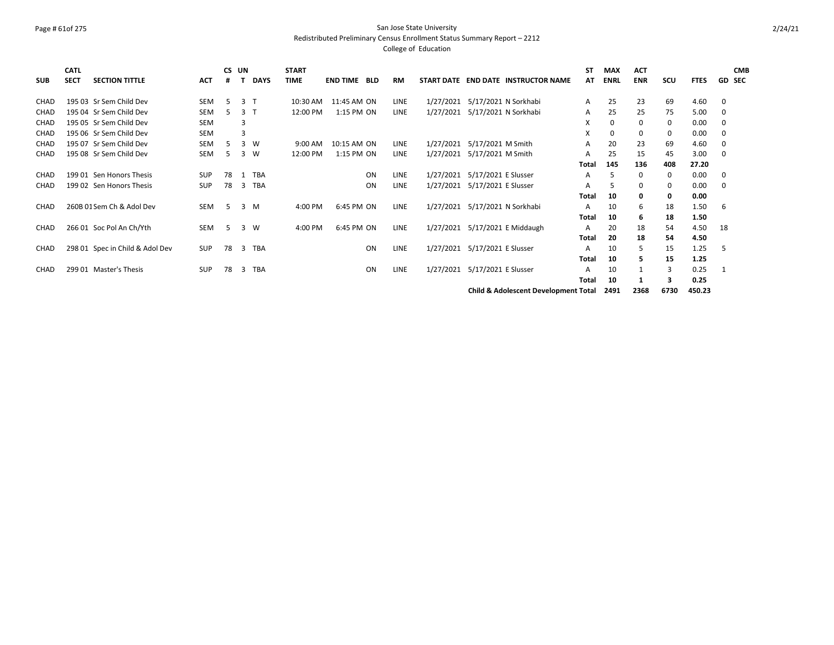# Page # 61of 275 San Jose State University

Redistributed Preliminary Census Enrollment Status Summary Report – 2212

| <b>SUB</b>  | <b>CATL</b><br><b>SECT</b> | <b>SECTION TITTLE</b>           | <b>ACT</b> | #  | CS UN          | <b>DAYS</b> | <b>START</b><br><b>TIME</b> | <b>END TIME BLD</b> |           | RM          |           | START DATE END DATE INSTRUCTOR NAME             | <b>ST</b><br>AT | <b>MAX</b><br><b>ENRL</b> | <b>ACT</b><br><b>ENR</b> | scu  | <b>FTES</b> | <b>CMB</b><br><b>GD SEC</b> |
|-------------|----------------------------|---------------------------------|------------|----|----------------|-------------|-----------------------------|---------------------|-----------|-------------|-----------|-------------------------------------------------|-----------------|---------------------------|--------------------------|------|-------------|-----------------------------|
| CHAD        |                            | 195 03 Sr Sem Child Dev         | <b>SEM</b> | -5 | $\overline{3}$ |             | 10:30 AM                    | 11:45 AM ON         |           | <b>LINE</b> |           | 1/27/2021 5/17/2021 N Sorkhabi                  | A               | 25                        | 23                       | 69   | 4.60        | 0                           |
| <b>CHAD</b> |                            | 195 04 Sr Sem Child Dev         | SEM        | 5  | 3 <sub>1</sub> |             | 12:00 PM                    | 1:15 PM ON          |           | LINE        | 1/27/2021 | 5/17/2021 N Sorkhabi                            | A               | 25                        | 25                       | 75   | 5.00        | 0                           |
| CHAD        |                            | 195 05 Sr Sem Child Dev         | <b>SEM</b> |    | 3              |             |                             |                     |           |             |           |                                                 | X               | 0                         | 0                        | 0    | 0.00        | 0                           |
| CHAD        |                            | 195 06 Sr Sem Child Dev         | <b>SEM</b> |    | 3              |             |                             |                     |           |             |           |                                                 | X               | 0                         | 0                        | 0    | 0.00        | 0                           |
| <b>CHAD</b> |                            | 195 07 Sr Sem Child Dev         | <b>SEM</b> | 5  | 3              | W           | 9:00 AM                     | 10:15 AM ON         |           | <b>LINE</b> |           | 1/27/2021 5/17/2021 M Smith                     | A               | 20                        | 23                       | 69   | 4.60        | 0                           |
| CHAD        |                            | 195 08 Sr Sem Child Dev         | SEM        | 5  | 3              | W           | 12:00 PM                    | 1:15 PM ON          |           | LINE        | 1/27/2021 | 5/17/2021 M Smith                               | A               | 25                        | 15                       | 45   | 3.00        | 0                           |
|             |                            |                                 |            |    |                |             |                             |                     |           |             |           |                                                 | <b>Total</b>    | 145                       | 136                      | 408  | 27.20       |                             |
| CHAD        |                            | 199 01 Sen Honors Thesis        | <b>SUP</b> | 78 | 1              | TBA         |                             |                     | ON        | LINE        |           | 1/27/2021 5/17/2021 E Slusser                   | A               | 5                         | 0                        | 0    | 0.00        | 0                           |
| CHAD        |                            | 199 02 Sen Honors Thesis        | <b>SUP</b> | 78 | 3              | TBA         |                             |                     | ON        | LINE        | 1/27/2021 | 5/17/2021 E Slusser                             | A               | 5                         | 0                        | 0    | 0.00        | 0                           |
|             |                            |                                 |            |    |                |             |                             |                     |           |             |           |                                                 | Total           | 10                        | 0                        | 0    | 0.00        |                             |
| <b>CHAD</b> |                            | 260B 01 Sem Ch & Adol Dev       | <b>SEM</b> | 5  | $\overline{3}$ | M           | 4:00 PM                     | 6:45 PM ON          |           | <b>LINE</b> | 1/27/2021 | 5/17/2021 N Sorkhabi                            | A               | 10                        | 6                        | 18   | 1.50        | -6                          |
|             |                            |                                 |            |    |                |             |                             |                     |           |             |           |                                                 | Total           | 10                        | 6                        | 18   | 1.50        |                             |
| CHAD        |                            | 266 01 Soc Pol An Ch/Yth        | SEM        | 5  | $\overline{3}$ | W           | 4:00 PM                     | 6:45 PM ON          |           | LINE        |           | 1/27/2021 5/17/2021 E Middaugh                  | A               | 20                        | 18                       | 54   | 4.50        | 18                          |
|             |                            |                                 |            |    |                |             |                             |                     |           |             |           |                                                 | Total           | 20                        | 18                       | 54   | 4.50        |                             |
| CHAD        |                            | 298 01 Spec in Child & Adol Dev | SUP        | 78 | 3              | TBA         |                             |                     | ON        | LINE        | 1/27/2021 | 5/17/2021 E Slusser                             | A               | 10                        | 5                        | 15   | 1.25        | -5                          |
|             |                            |                                 |            |    |                |             |                             |                     |           |             |           |                                                 | Total           | 10                        | 5                        | 15   | 1.25        |                             |
| CHAD        |                            | 299 01 Master's Thesis          | <b>SUP</b> | 78 | 3              | <b>TBA</b>  |                             |                     | <b>ON</b> | LINE        |           | 1/27/2021 5/17/2021 E Slusser                   | A               | 10                        |                          | 3    | 0.25        | - 1                         |
|             |                            |                                 |            |    |                |             |                             |                     |           |             |           |                                                 | <b>Total</b>    | 10                        |                          | 3    | 0.25        |                             |
|             |                            |                                 |            |    |                |             |                             |                     |           |             |           | <b>Child &amp; Adolescent Development Total</b> |                 | 2491                      | 2368                     | 6730 | 450.23      |                             |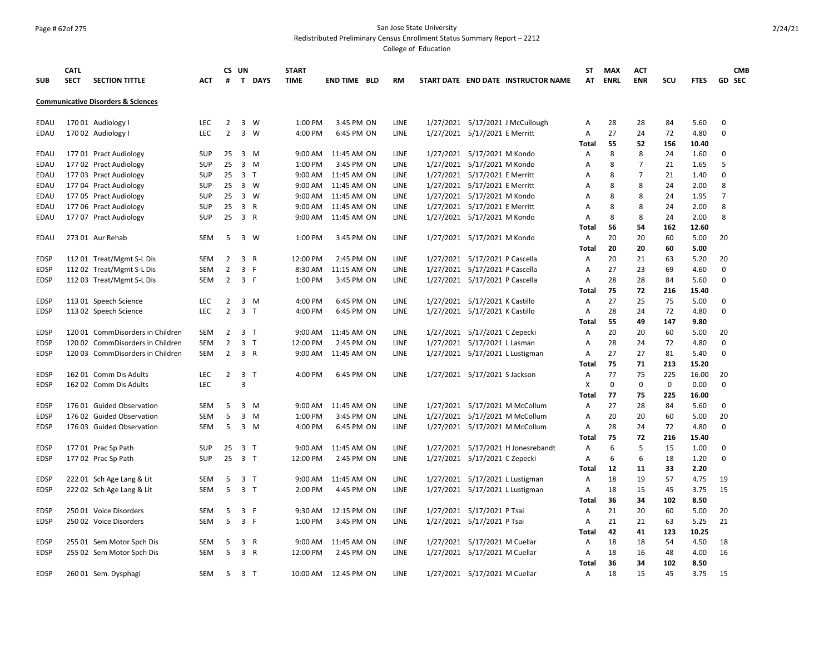# Page # 62of 275 San Jose State University

Redistributed Preliminary Census Enrollment Status Summary Report – 2212

|                            | <b>CATL</b> |                                               |                          |                                  | CS UN                   |              | <b>START</b>      |                          |             |                                                                  | ST           | <b>MAX</b>  | ACT            |             |              |                | <b>CMB</b>    |
|----------------------------|-------------|-----------------------------------------------|--------------------------|----------------------------------|-------------------------|--------------|-------------------|--------------------------|-------------|------------------------------------------------------------------|--------------|-------------|----------------|-------------|--------------|----------------|---------------|
| <b>SUB</b>                 | <b>SECT</b> | <b>SECTION TITTLE</b>                         | ACT                      | #                                |                         | T DAYS       | <b>TIME</b>       | <b>END TIME BLD</b>      | <b>RM</b>   | START DATE END DATE INSTRUCTOR NAME                              | AT           | <b>ENRL</b> | <b>ENR</b>     | SCU         | <b>FTES</b>  |                | <b>GD SEC</b> |
|                            |             | <b>Communicative Disorders &amp; Sciences</b> |                          |                                  |                         |              |                   |                          |             |                                                                  |              |             |                |             |              |                |               |
| EDAU                       |             | 170 01 Audiology I                            | <b>LEC</b>               | 2                                | 3                       | W            | 1:00 PM           | 3:45 PM ON               | LINE        | 1/27/2021 5/17/2021 J McCullough                                 | Α            | 28          | 28             | 84          | 5.60         | 0              |               |
| <b>EDAU</b>                |             | 170 02 Audiology I                            | <b>LEC</b>               | $\overline{2}$                   | $\overline{\mathbf{3}}$ | W            | 4:00 PM           | 6:45 PM ON               | LINE        | 1/27/2021 5/17/2021 E Merritt                                    | Α            | 27          | 24             | 72          | 4.80         | $\Omega$       |               |
|                            |             |                                               |                          |                                  |                         |              |                   |                          |             |                                                                  | Total        | 55          | 52             | 156         | 10.40        |                |               |
| <b>EDAU</b>                |             | 177 01 Pract Audiology                        | <b>SUP</b>               | 25                               |                         | 3 M          | 9:00 AM           | 11:45 AM ON              | LINE        | 1/27/2021 5/17/2021 M Kondo                                      | Α            | 8           | 8              | 24          | 1.60         | $\Omega$       |               |
| EDAU                       |             | 177 02 Pract Audiology                        | <b>SUP</b>               | 25                               | $\overline{\mathbf{3}}$ | M            | 1:00 PM           | 3:45 PM ON               | LINE        | 1/27/2021 5/17/2021 M Kondo                                      | Α            | 8           | $\overline{7}$ | 21          | 1.65         | 5              |               |
| EDAU                       |             | 177 03 Pract Audiology                        | <b>SUP</b>               | 25                               | 3 T                     |              | 9:00 AM           | 11:45 AM ON              | LINE        | 1/27/2021 5/17/2021 E Merritt                                    | Α            | 8           | $\overline{7}$ | 21          | 1.40         | $\Omega$       |               |
| EDAU                       |             | 177 04 Pract Audiology                        | <b>SUP</b>               | 25                               |                         | 3 W          | $9:00 \text{ AM}$ | 11:45 AM ON              | <b>LINE</b> | 1/27/2021 5/17/2021 E Merritt                                    | A            | 8           | 8              | 24          | 2.00         | 8              |               |
| <b>EDAU</b>                |             | 177 05 Pract Audiology                        | <b>SUP</b>               | 25                               |                         | 3 W          | 9:00 AM           | 11:45 AM ON              | <b>LINE</b> | 1/27/2021 5/17/2021 M Kondo                                      | A            | 8           | 8              | 24          | 1.95         | $\overline{7}$ |               |
| EDAU                       |             | 177 06 Pract Audiology                        | <b>SUP</b>               | 25                               | 3 R                     |              | 9:00 AM           | 11:45 AM ON              | LINE        | 1/27/2021 5/17/2021 E Merritt                                    | A            | 8           | 8              | 24          | 2.00         | 8              |               |
| EDAU                       |             | 177 07 Pract Audiology                        | SUP                      | 25                               | 3 R                     |              | 9:00 AM           | 11:45 AM ON              | LINE        | 1/27/2021 5/17/2021 M Kondo                                      | Α            | 8           | 8              | 24          | 2.00         | 8              |               |
|                            |             |                                               |                          |                                  |                         |              |                   |                          |             |                                                                  | Total        | 56          | 54             | 162         | 12.60        |                |               |
| <b>EDAU</b>                |             | 273 01 Aur Rehab                              | <b>SEM</b>               | 5                                |                         | 3 W          | 1:00 PM           | 3:45 PM ON               | <b>LINE</b> | 1/27/2021 5/17/2021 M Kondo                                      | $\mathsf{A}$ | 20          | 20             | 60          | 5.00         | 20             |               |
|                            |             |                                               |                          |                                  |                         |              |                   |                          |             |                                                                  | Total        | 20          | 20             | 60          | 5.00         |                |               |
| <b>EDSP</b>                |             | 112 01 Treat/Mgmt S-L Dis                     | <b>SEM</b>               | $\overline{2}$                   | 3 R                     |              | 12:00 PM          | 2:45 PM ON               | LINE        | 1/27/2021 5/17/2021 P Cascella                                   | Α            | 20          | 21             | 63          | 5.20         | 20             |               |
| EDSP                       |             | 112 02 Treat/Mgmt S-L Dis                     | <b>SEM</b>               | $\overline{2}$                   | 3                       | -F           | 8:30 AM           | 11:15 AM ON              | LINE        | 1/27/2021 5/17/2021 P Cascella                                   | Α            | 27          | 23             | 69          | 4.60         | 0              |               |
| <b>EDSP</b>                |             | 112 03 Treat/Mgmt S-L Dis                     | <b>SEM</b>               | 2                                | 3 F                     |              | 1:00 PM           | 3:45 PM ON               | LINE        | 1/27/2021 5/17/2021 P Cascella                                   | A            | 28<br>75    | 28<br>72       | 84<br>216   | 5.60         | 0              |               |
|                            |             |                                               |                          |                                  |                         |              | 4:00 PM           |                          | LINE        |                                                                  | Total        | 27          | 25             | 75          | 15.40        | $\Omega$       |               |
| <b>EDSP</b><br><b>EDSP</b> |             | 113 01 Speech Science                         | <b>LEC</b><br><b>LEC</b> | $\overline{2}$<br>$\overline{2}$ | 3 <sub>T</sub>          | 3 M          | 4:00 PM           | 6:45 PM ON<br>6:45 PM ON | LINE        | 1/27/2021 5/17/2021 K Castillo<br>1/27/2021 5/17/2021 K Castillo | Α<br>Α       | 28          | 24             | 72          | 5.00<br>4.80 | $\Omega$       |               |
|                            |             | 113 02 Speech Science                         |                          |                                  |                         |              |                   |                          |             |                                                                  | Total        | 55          | 49             | 147         | 9.80         |                |               |
| <b>EDSP</b>                |             | 12001 CommDisorders in Children               | <b>SEM</b>               | 2                                | 3 <sub>T</sub>          |              | $9:00 \text{ AM}$ | 11:45 AM ON              | <b>LINE</b> | 1/27/2021 5/17/2021 C Zepecki                                    | $\mathsf{A}$ | 20          | 20             | 60          | 5.00         | 20             |               |
| <b>EDSP</b>                |             | 120 02 CommDisorders in Children              | <b>SEM</b>               | $\overline{2}$                   | $\overline{\mathbf{3}}$ | T            | 12:00 PM          | 2:45 PM ON               | LINE        | 1/27/2021 5/17/2021 L Lasman                                     | A            | 28          | 24             | 72          | 4.80         | 0              |               |
| <b>EDSP</b>                |             | 120 03 CommDisorders in Children              | <b>SEM</b>               | $\overline{2}$                   | 3 R                     |              |                   | 9:00 AM 11:45 AM ON      | LINE        | 1/27/2021 5/17/2021 L Lustigman                                  | Α            | 27          | 27             | 81          | 5.40         | $\Omega$       |               |
|                            |             |                                               |                          |                                  |                         |              |                   |                          |             |                                                                  | Total        | 75          | 71             | 213         | 15.20        |                |               |
| <b>EDSP</b>                |             | 162 01 Comm Dis Adults                        | <b>LEC</b>               | 2                                | $\overline{\mathbf{3}}$ | T            | 4:00 PM           | 6:45 PM ON               | LINE        | 1/27/2021 5/17/2021 S Jackson                                    | A            | 77          | 75             | 225         | 16.00        | 20             |               |
| <b>EDSP</b>                |             | 162 02 Comm Dis Adults                        | LEC                      |                                  | 3                       |              |                   |                          |             |                                                                  | X            | $\mathbf 0$ | 0              | $\mathbf 0$ | 0.00         | 0              |               |
|                            |             |                                               |                          |                                  |                         |              |                   |                          |             |                                                                  | Total        | 77          | 75             | 225         | 16.00        |                |               |
| <b>EDSP</b>                |             | 176 01 Guided Observation                     | <b>SEM</b>               | 5                                |                         | $3 \, M$     | 9:00 AM           | 11:45 AM ON              | LINE        | 1/27/2021 5/17/2021 M McCollum                                   | Α            | 27          | 28             | 84          | 5.60         | 0              |               |
| <b>EDSP</b>                |             | 176 02 Guided Observation                     | <b>SEM</b>               | 5                                | 3                       | M            | 1:00 PM           | 3:45 PM ON               | LINE        | 1/27/2021 5/17/2021 M McCollum                                   | Α            | 20          | 20             | 60          | 5.00         | 20             |               |
| EDSP                       |             | 176 03 Guided Observation                     | <b>SEM</b>               | 5                                | $\overline{3}$          | M            | 4:00 PM           | 6:45 PM ON               | LINE        | 1/27/2021 5/17/2021 M McCollum                                   | $\mathsf{A}$ | 28          | 24             | 72          | 4.80         | $\Omega$       |               |
|                            |             |                                               |                          |                                  |                         |              |                   |                          |             |                                                                  | Total        | 75          | 72             | 216         | 15.40        |                |               |
| <b>EDSP</b>                |             | 177 01 Prac Sp Path                           | <b>SUP</b>               | 25                               | $\overline{\mathbf{3}}$ | T            | 9:00 AM           | 11:45 AM ON              | LINE        | 1/27/2021 5/17/2021 H Jonesrebandt                               | A            | 6           | 5              | 15          | 1.00         | $\Omega$       |               |
| <b>EDSP</b>                |             | 177 02 Prac Sp Path                           | SUP                      | 25                               | 3 <sub>1</sub>          |              | 12:00 PM          | 2:45 PM ON               | LINE        | 1/27/2021 5/17/2021 C Zepecki                                    | A            | 6           | 6              | 18          | 1.20         | $\Omega$       |               |
|                            |             |                                               |                          |                                  |                         |              |                   |                          |             |                                                                  | Total        | 12          | 11             | 33          | 2.20         |                |               |
| <b>EDSP</b>                |             | 222 01 Sch Age Lang & Lit                     | <b>SEM</b>               | 5                                | 3 <sub>T</sub>          |              | 9:00 AM           | 11:45 AM ON              | LINE        | 1/27/2021 5/17/2021 L Lustigman                                  | A            | 18          | 19             | 57          | 4.75         | 19             |               |
| <b>EDSP</b>                |             | 222 02 Sch Age Lang & Lit                     | <b>SEM</b>               | 5                                | 3 <sub>T</sub>          |              | 2:00 PM           | 4:45 PM ON               | LINE        | 1/27/2021 5/17/2021 L Lustigman                                  | Α            | 18          | 15             | 45          | 3.75         | 15             |               |
|                            |             |                                               |                          |                                  |                         |              |                   |                          |             |                                                                  | <b>Total</b> | 36          | 34             | 102         | 8.50         |                |               |
| <b>EDSP</b>                |             | 250 01 Voice Disorders                        | <b>SEM</b>               | 5                                | 3                       | - F          | 9:30 AM           | 12:15 PM ON              | LINE        | 1/27/2021 5/17/2021 P Tsai                                       | Α            | 21          | 20             | 60          | 5.00         | 20             |               |
| <b>EDSP</b>                |             | 250 02 Voice Disorders                        | <b>SEM</b>               | 5                                | 3 F                     |              | 1:00 PM           | 3:45 PM ON               | LINE        | 1/27/2021 5/17/2021 P Tsai                                       | Α            | 21          | 21             | 63          | 5.25         | 21             |               |
|                            |             |                                               |                          |                                  |                         |              |                   |                          |             |                                                                  | Total        | 42          | 41             | 123         | 10.25        |                |               |
| <b>EDSP</b>                |             | 255 01 Sem Motor Spch Dis                     | <b>SEM</b>               | 5                                | 3                       | $\mathsf{R}$ | 9:00 AM           | 11:45 AM ON              | <b>LINE</b> | 1/27/2021 5/17/2021 M Cuellar                                    | Α            | 18          | 18             | 54          | 4.50         | 18             |               |
| <b>EDSP</b>                |             | 255 02 Sem Motor Spch Dis                     | <b>SEM</b>               | 5                                | 3 R                     |              | 12:00 PM          | 2:45 PM ON               | LINE        | 1/27/2021 5/17/2021 M Cuellar                                    | Α            | 18          | 16             | 48          | 4.00         | 16             |               |
|                            |             |                                               |                          |                                  |                         |              |                   |                          |             |                                                                  | Total        | 36          | 34             | 102         | 8.50         |                |               |
| <b>EDSP</b>                |             | 260 01 Sem. Dysphagi                          | <b>SEM</b>               | -5                               | 3 T                     |              |                   | 10:00 AM  12:45 PM ON    | <b>LINE</b> | 1/27/2021 5/17/2021 M Cuellar                                    | $\mathsf{A}$ | 18          | 15             | 45          | 3.75         | 15             |               |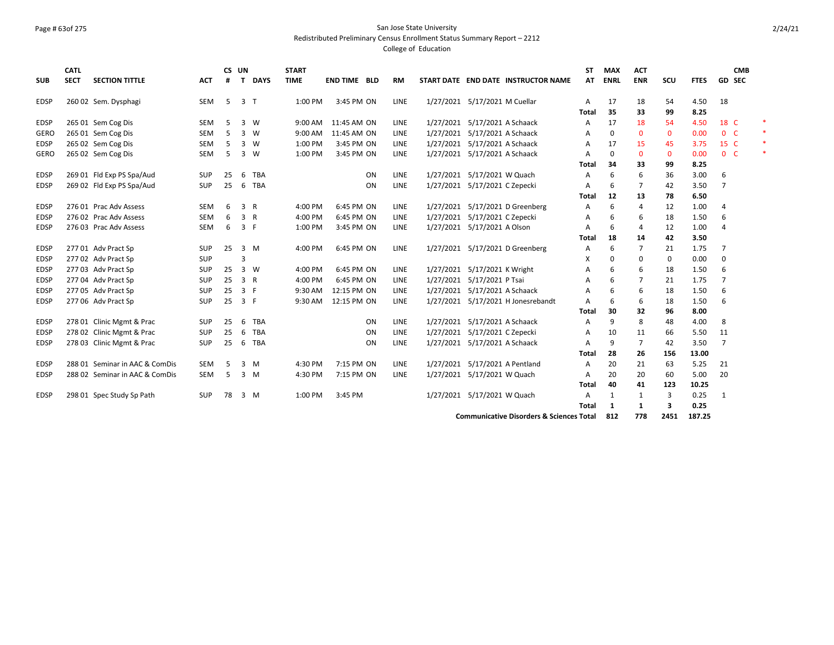# Page # 63of 275 San Jose State University

Redistributed Preliminary Census Enrollment Status Summary Report – 2212

| <b>SUB</b>  | <b>CATL</b><br><b>SECT</b> | <b>SECTION TITTLE</b>          | <b>ACT</b> | #  | CS UN<br>T     | <b>DAYS</b>    | <b>START</b><br><b>TIME</b> | <b>END TIME BLD</b> |    | <b>RM</b>   | START DATE END DATE INSTRUCTOR NAME                 | ST<br>AT   | <b>MAX</b><br><b>ENRL</b> | <b>ACT</b><br><b>ENR</b> | SCU          | <b>FTES</b> |                | <b>CMB</b><br>GD SEC |        |
|-------------|----------------------------|--------------------------------|------------|----|----------------|----------------|-----------------------------|---------------------|----|-------------|-----------------------------------------------------|------------|---------------------------|--------------------------|--------------|-------------|----------------|----------------------|--------|
| <b>EDSP</b> |                            |                                | SEM        |    |                | 3 <sub>T</sub> | 1:00 PM                     | 3:45 PM ON          |    | LINE        | 1/27/2021 5/17/2021 M Cuellar                       |            |                           |                          | 54           | 4.50        | 18             |                      |        |
|             |                            | 260 02 Sem. Dysphagi           |            | -5 |                |                |                             |                     |    |             |                                                     | Α<br>Total | 17<br>35                  | 18<br>33                 | 99           | 8.25        |                |                      |        |
| <b>EDSP</b> |                            | 265 01 Sem Cog Dis             | <b>SEM</b> | 5  |                | $3 \quad W$    | 9:00 AM                     | 11:45 AM ON         |    | LINE        | 1/27/2021 5/17/2021 A Schaack                       | Α          | 17                        | 18                       | 54           | 4.50        | 18 C           |                      |        |
| <b>GERO</b> |                            | 265 01 Sem Cog Dis             | <b>SEM</b> | 5  |                | $3 \quad W$    | 9:00 AM                     | 11:45 AM ON         |    | <b>LINE</b> | 1/27/2021 5/17/2021 A Schaack                       | А          | 0                         | $\mathbf 0$              | $\mathbf{0}$ | 0.00        | 0 <sup>o</sup> |                      | $\ast$ |
| <b>EDSP</b> |                            | 265 02 Sem Cog Dis             | <b>SEM</b> | 5  |                | 3 W            | 1:00 PM                     | 3:45 PM ON          |    | LINE        | 1/27/2021 5/17/2021 A Schaack                       | А          | 17                        | 15                       | 45           | 3.75        | 15 C           |                      | $*$    |
| GERO        |                            | 265 02 Sem Cog Dis             | <b>SEM</b> | 5  |                | $3 \quad W$    | 1:00 PM                     | 3:45 PM ON          |    | <b>LINE</b> | 1/27/2021 5/17/2021 A Schaack                       | А          | $\Omega$                  | $\mathbf 0$              | $\mathbf 0$  | 0.00        | 0 <sup>o</sup> |                      | $\ast$ |
|             |                            |                                |            |    |                |                |                             |                     |    |             |                                                     | Total      | 34                        | 33                       | 99           | 8.25        |                |                      |        |
| <b>EDSP</b> |                            | 269 01 Fld Exp PS Spa/Aud      | <b>SUP</b> | 25 | -6             | TBA            |                             |                     | ON | <b>LINE</b> | 1/27/2021 5/17/2021 W Quach                         | А          | 6                         | 6                        | 36           | 3.00        | 6              |                      |        |
| <b>EDSP</b> |                            | 269 02 Fld Exp PS Spa/Aud      | <b>SUP</b> | 25 | 6              | <b>TBA</b>     |                             |                     | ON | <b>LINE</b> | 1/27/2021 5/17/2021 C Zepecki                       | A          | 6                         | $\overline{7}$           | 42           | 3.50        | $\overline{7}$ |                      |        |
|             |                            |                                |            |    |                |                |                             |                     |    |             |                                                     | Total      | 12                        | 13                       | 78           | 6.50        |                |                      |        |
| <b>EDSP</b> |                            | 276 01 Prac Adv Assess         | <b>SEM</b> | 6  | 3              | $\overline{R}$ | 4:00 PM                     | 6:45 PM ON          |    | <b>LINE</b> | 1/27/2021 5/17/2021 D Greenberg                     | А          | 6                         | $\overline{4}$           | 12           | 1.00        | $\overline{4}$ |                      |        |
| <b>EDSP</b> |                            | 276 02 Prac Adv Assess         | <b>SEM</b> | 6  | 3              | $\mathsf{R}$   | 4:00 PM                     | 6:45 PM ON          |    | <b>LINE</b> | 1/27/2021 5/17/2021 C Zepecki                       | А          | 6                         | 6                        | 18           | 1.50        | 6              |                      |        |
| <b>EDSP</b> |                            | 276 03 Prac Adv Assess         | <b>SEM</b> | 6  |                | 3 F            | 1:00 PM                     | 3:45 PM ON          |    | <b>LINE</b> | 1/27/2021 5/17/2021 A Olson                         | Α          | 6                         | $\overline{4}$           | 12           | 1.00        | $\overline{4}$ |                      |        |
|             |                            |                                |            |    |                |                |                             |                     |    |             |                                                     | Total      | 18                        | 14                       | 42           | 3.50        |                |                      |        |
| <b>EDSP</b> |                            | 277 01 Adv Pract Sp            | SUP        | 25 |                | $3 \, M$       | 4:00 PM                     | 6:45 PM ON          |    | <b>LINE</b> | 1/27/2021 5/17/2021 D Greenberg                     | А          | 6                         | $\overline{7}$           | 21           | 1.75        | $\overline{7}$ |                      |        |
| <b>EDSP</b> |                            | 277 02 Adv Pract Sp            | <b>SUP</b> |    |                |                |                             |                     |    |             |                                                     | X          | 0                         | 0                        | 0            | 0.00        | 0              |                      |        |
| <b>EDSP</b> |                            | 277 03 Adv Pract Sp            | <b>SUP</b> | 25 |                | $3 \quad W$    | 4:00 PM                     | 6:45 PM ON          |    | LINE        | 1/27/2021 5/17/2021 K Wright                        | Α          | 6                         | 6                        | 18           | 1.50        | 6              |                      |        |
| <b>EDSP</b> |                            | 277 04 Adv Pract Sp            | <b>SUP</b> | 25 | $\overline{3}$ | $\mathsf{R}$   | 4:00 PM                     | 6:45 PM ON          |    | <b>LINE</b> | 1/27/2021 5/17/2021 P Tsai                          | Α          | 6                         | $\overline{7}$           | 21           | 1.75        | $\overline{7}$ |                      |        |
| <b>EDSP</b> |                            | 277 05 Adv Pract Sp            | <b>SUP</b> | 25 |                | 3 F            | 9:30 AM                     | 12:15 PM ON         |    | <b>LINE</b> | 1/27/2021 5/17/2021 A Schaack                       | Α          | 6                         | 6                        | 18           | 1.50        | 6              |                      |        |
| <b>EDSP</b> |                            | 277 06 Adv Pract Sp            | <b>SUP</b> | 25 |                | 3 F            | 9:30 AM                     | 12:15 PM ON         |    | <b>LINE</b> | 1/27/2021 5/17/2021 H Jonesrebandt                  | A          | 6                         | 6                        | 18           | 1.50        | 6              |                      |        |
|             |                            |                                |            |    |                |                |                             |                     |    |             |                                                     | Total      | 30                        | 32                       | 96           | 8.00        |                |                      |        |
| <b>EDSP</b> |                            | 278 01 Clinic Mgmt & Prac      | <b>SUP</b> | 25 | 6              | TBA            |                             |                     | ON | <b>LINE</b> | 1/27/2021 5/17/2021 A Schaack                       | Α          | 9                         | 8                        | 48           | 4.00        | 8              |                      |        |
| <b>EDSP</b> |                            | 278 02 Clinic Mgmt & Prac      | SUP        | 25 | 6              | <b>TBA</b>     |                             |                     | ON | <b>LINE</b> | 1/27/2021 5/17/2021 C Zepecki                       | Α          | 10                        | 11                       | 66           | 5.50        | 11             |                      |        |
| <b>EDSP</b> |                            | 278 03 Clinic Mgmt & Prac      | <b>SUP</b> | 25 | 6              | <b>TBA</b>     |                             |                     | ON | <b>LINE</b> | 1/27/2021 5/17/2021 A Schaack                       | A          | 9                         | $\overline{7}$           | 42           | 3.50        | $\overline{7}$ |                      |        |
|             |                            |                                |            |    |                |                |                             |                     |    |             |                                                     | Total      | 28                        | 26                       | 156          | 13.00       |                |                      |        |
| <b>EDSP</b> |                            | 288 01 Seminar in AAC & ComDis | <b>SEM</b> | 5  |                | $3 \, M$       | 4:30 PM                     | 7:15 PM ON          |    | <b>LINE</b> | 1/27/2021 5/17/2021 A Pentland                      | A          | 20                        | 21                       | 63           | 5.25        | 21             |                      |        |
| <b>EDSP</b> |                            | 288 02 Seminar in AAC & ComDis | <b>SEM</b> | 5  |                | $3 \, M$       | 4:30 PM                     | 7:15 PM ON          |    | <b>LINE</b> | 1/27/2021 5/17/2021 W Quach                         | Α          | 20                        | 20                       | 60           | 5.00        | 20             |                      |        |
|             |                            |                                |            |    |                |                |                             |                     |    |             |                                                     | Total      | 40                        | 41                       | 123          | 10.25       |                |                      |        |
| <b>EDSP</b> |                            | 298 01 Spec Study Sp Path      | <b>SUP</b> | 78 |                | 3 M            | 1:00 PM                     | 3:45 PM             |    |             | 1/27/2021 5/17/2021 W Quach                         | A          | $\mathbf{1}$              | 1                        | 3            | 0.25        | 1              |                      |        |
|             |                            |                                |            |    |                |                |                             |                     |    |             |                                                     | Total      | -1                        | 1                        | 3            | 0.25        |                |                      |        |
|             |                            |                                |            |    |                |                |                             |                     |    |             | <b>Communicative Disorders &amp; Sciences Total</b> |            | 812                       | 778                      | 2451         | 187.25      |                |                      |        |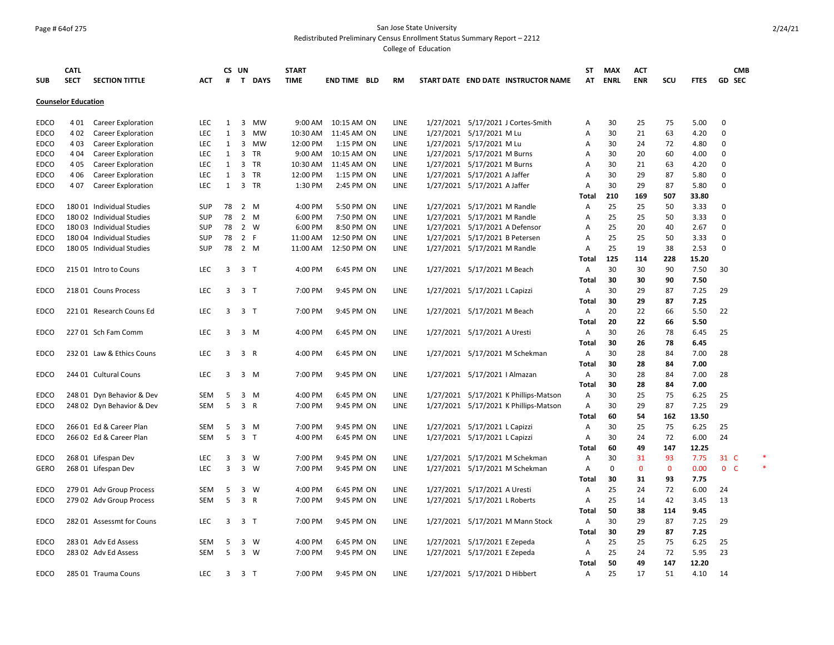# Page # 64of 275 San Jose State University

Redistributed Preliminary Census Enrollment Status Summary Report – 2212

| <b>SUB</b>  | <b>CATL</b><br><b>SECT</b> | <b>SECTION TITTLE</b>     | <b>ACT</b> | #                       | CS UN<br>T     | <b>DAYS</b>    | <b>START</b><br><b>TIME</b> | <b>END TIME BLD</b> | <b>RM</b>   |                                | START DATE END DATE INSTRUCTOR NAME   | ST<br>AT     | <b>MAX</b><br><b>ENRL</b> | <b>ACT</b><br><b>ENR</b> | scu         | <b>FTES</b> | CMB<br>GD<br><b>SEC</b> |  |
|-------------|----------------------------|---------------------------|------------|-------------------------|----------------|----------------|-----------------------------|---------------------|-------------|--------------------------------|---------------------------------------|--------------|---------------------------|--------------------------|-------------|-------------|-------------------------|--|
|             | <b>Counselor Education</b> |                           |            |                         |                |                |                             |                     |             |                                |                                       |              |                           |                          |             |             |                         |  |
| <b>EDCO</b> | 401                        | Career Exploration        | <b>LEC</b> | 1                       | 3              | MW             | 9:00 AM                     | 10:15 AM ON         | LINE        |                                | 1/27/2021 5/17/2021 J Cortes-Smith    | Α            | 30                        | 25                       | 75          | 5.00        | 0                       |  |
| EDCO        | 402                        | <b>Career Exploration</b> | LEC        | $\mathbf{1}$            | 3              | MW             | 10:30 AM                    | 11:45 AM ON         | LINE        | 1/27/2021 5/17/2021 M Lu       |                                       | Α            | 30                        | 21                       | 63          | 4.20        | 0                       |  |
| EDCO        | 403                        | Career Exploration        | <b>LEC</b> | 1                       | 3              | MW             | 12:00 PM                    | 1:15 PM ON          | LINE        | 1/27/2021 5/17/2021 M Lu       |                                       | Α            | 30                        | 24                       | 72          | 4.80        | 0                       |  |
| <b>EDCO</b> | 404                        | Career Exploration        | <b>LEC</b> | 1                       |                | 3 TR           | 9:00 AM                     | 10:15 AM ON         | LINE        | 1/27/2021 5/17/2021 M Burns    |                                       | Α            | 30                        | 20                       | 60          | 4.00        | 0                       |  |
| EDCO        | 4 0 5                      | <b>Career Exploration</b> | LEC        | 1                       | $\overline{3}$ | TR             | 10:30 AM                    | 11:45 AM ON         | LINE        | 1/27/2021 5/17/2021 M Burns    |                                       | Α            | 30                        | 21                       | 63          | 4.20        | 0                       |  |
| EDCO        | 4 0 6                      | Career Exploration        | <b>LEC</b> | 1                       |                | 3 TR           | 12:00 PM                    | 1:15 PM ON          | <b>LINE</b> | 1/27/2021 5/17/2021 A Jaffer   |                                       | Α            | 30                        | 29                       | 87          | 5.80        | 0                       |  |
| EDCO        | 407                        | <b>Career Exploration</b> | <b>LEC</b> | 1                       |                | 3 TR           | 1:30 PM                     | 2:45 PM ON          | <b>LINE</b> | 1/27/2021 5/17/2021 A Jaffer   |                                       | A            | 30                        | 29                       | 87          | 5.80        | 0                       |  |
|             |                            |                           |            |                         |                |                |                             |                     |             |                                |                                       | Total        | 210                       | 169                      | 507         | 33.80       |                         |  |
| EDCO        |                            | 180 01 Individual Studies | <b>SUP</b> | 78                      |                | 2 M            | 4:00 PM                     | 5:50 PM ON          | <b>LINE</b> | 1/27/2021 5/17/2021 M Randle   |                                       | Α            | 25                        | 25                       | 50          | 3.33        | 0                       |  |
| EDCO        |                            | 180 02 Individual Studies | <b>SUP</b> | 78                      |                | 2 M            | 6:00 PM                     | 7:50 PM ON          | <b>LINE</b> | 1/27/2021 5/17/2021 M Randle   |                                       | Α            | 25                        | 25                       | 50          | 3.33        | 0                       |  |
| EDCO        |                            | 18003 Individual Studies  | <b>SUP</b> | 78                      |                | 2 W            | 6:00 PM                     | 8:50 PM ON          | LINE        | 1/27/2021 5/17/2021 A Defensor |                                       | Α            | 25                        | 20                       | 40          | 2.67        | 0                       |  |
| EDCO        |                            | 180 04 Individual Studies | <b>SUP</b> | 78                      | 2 F            |                | 11:00 AM                    | 12:50 PM ON         | LINE        | 1/27/2021 5/17/2021 B Petersen |                                       | Α            | 25                        | 25                       | 50          | 3.33        | 0                       |  |
| <b>EDCO</b> |                            | 180 05 Individual Studies | <b>SUP</b> | 78                      |                | 2 M            | 11:00 AM                    | 12:50 PM ON         | LINE        | 1/27/2021 5/17/2021 M Randle   |                                       | Α            | 25                        | 19                       | 38          | 2.53        | $\Omega$                |  |
|             |                            |                           |            |                         |                |                |                             |                     |             |                                |                                       | Total        | 125                       | 114                      | 228         | 15.20       |                         |  |
| EDCO        |                            | 215 01 Intro to Couns     | <b>LEC</b> | 3                       | 3 <sub>T</sub> |                | 4:00 PM                     | 6:45 PM ON          | LINE        | 1/27/2021 5/17/2021 M Beach    |                                       | A            | 30                        | 30                       | 90          | 7.50        | 30                      |  |
|             |                            |                           |            |                         |                |                |                             |                     |             |                                |                                       | Total        | 30                        | 30                       | 90          | 7.50        |                         |  |
| EDCO        |                            | 218 01 Couns Process      | <b>LEC</b> | 3                       | 3 T            |                | 7:00 PM                     | 9:45 PM ON          | LINE        | 1/27/2021 5/17/2021 L Capizzi  |                                       | Α            | 30                        | 29                       | 87          | 7.25        | 29                      |  |
|             |                            |                           |            |                         |                |                |                             |                     |             |                                |                                       | <b>Total</b> | 30                        | 29                       | 87          | 7.25        |                         |  |
| EDCO        |                            | 22101 Research Couns Ed   | <b>LEC</b> | 3                       | 3 T            |                | 7:00 PM                     | 9:45 PM ON          | LINE        | 1/27/2021 5/17/2021 M Beach    |                                       | Α            | 20                        | 22                       | 66          | 5.50        | 22                      |  |
|             |                            |                           |            |                         |                |                |                             |                     |             |                                |                                       | Total        | 20                        | 22                       | 66          | 5.50        |                         |  |
| <b>EDCO</b> |                            | 227 01 Sch Fam Comm       | <b>LEC</b> | 3                       |                | 3 M            | 4:00 PM                     | 6:45 PM ON          | LINE        | 1/27/2021 5/17/2021 A Uresti   |                                       | Α            | 30                        | 26                       | 78          | 6.45        | 25                      |  |
|             |                            |                           |            |                         |                |                |                             |                     |             |                                |                                       | Total        | 30                        | 26                       | 78          | 6.45        |                         |  |
| EDCO        |                            | 232 01 Law & Ethics Couns | <b>LEC</b> | 3                       | 3 R            |                | 4:00 PM                     | 6:45 PM ON          | LINE        |                                | 1/27/2021 5/17/2021 M Schekman        | Α            | 30                        | 28                       | 84          | 7.00        | 28                      |  |
|             |                            |                           |            |                         |                |                |                             |                     |             |                                |                                       | Total        | 30                        | 28                       | 84          | 7.00        |                         |  |
| EDCO        |                            | 244 01 Cultural Couns     | <b>LEC</b> | 3                       |                | 3 M            | 7:00 PM                     | 9:45 PM ON          | LINE        | 1/27/2021 5/17/2021   Almazan  |                                       | Α            | 30                        | 28                       | 84          | 7.00        | 28                      |  |
|             |                            |                           |            |                         |                |                |                             |                     |             |                                |                                       | Total        | 30                        | 28                       | 84          | 7.00        |                         |  |
| EDCO        |                            | 248 01 Dyn Behavior & Dev | <b>SEM</b> | 5                       |                | 3 M            | 4:00 PM                     | 6:45 PM ON          | LINE        |                                | 1/27/2021 5/17/2021 K Phillips-Matson | Α            | 30                        | 25                       | 75          | 6.25        | 25                      |  |
| <b>EDCO</b> |                            | 248 02 Dyn Behavior & Dev | <b>SEM</b> | 5                       |                | 3 R            | 7:00 PM                     | 9:45 PM ON          | LINE        |                                | 1/27/2021 5/17/2021 K Phillips-Matson | Α            | 30                        | 29                       | 87          | 7.25        | 29                      |  |
|             |                            |                           |            |                         |                |                |                             |                     |             |                                |                                       | Total        | 60                        | 54                       | 162         | 13.50       |                         |  |
| <b>EDCO</b> |                            | 266 01 Ed & Career Plan   | <b>SEM</b> | 5                       |                | 3 M            | 7:00 PM                     | 9:45 PM ON          | LINE        | 1/27/2021 5/17/2021 L Capizzi  |                                       | Α            | 30                        | 25                       | 75          | 6.25        | 25                      |  |
| <b>EDCO</b> |                            | 266 02 Ed & Career Plan   | <b>SEM</b> | 5                       |                | 3 <sub>T</sub> | 4:00 PM                     | 6:45 PM ON          | LINE        | 1/27/2021 5/17/2021 L Capizzi  |                                       | Α            | 30                        | 24                       | 72          | 6.00        | 24                      |  |
|             |                            |                           |            |                         |                |                |                             |                     |             |                                |                                       | Total        | 60                        | 49                       | 147         | 12.25       |                         |  |
| EDCO        |                            | 268 01 Lifespan Dev       | LEC.       | 3                       |                | 3 W            | 7:00 PM                     | 9:45 PM ON          | LINE        |                                | 1/27/2021 5/17/2021 M Schekman        | Α            | 30                        | 31                       | 93          | 7.75        | 31 C                    |  |
| <b>GERO</b> |                            | 268 01 Lifespan Dev       | <b>LEC</b> | $\overline{\mathbf{3}}$ |                | 3 W            | 7:00 PM                     | 9:45 PM ON          | LINE        |                                | 1/27/2021 5/17/2021 M Schekman        | Α            | $\mathbf 0$               | $\mathbf 0$              | $\mathbf 0$ | 0.00        | 0 <sup>o</sup>          |  |
|             |                            |                           |            |                         |                |                |                             |                     |             |                                |                                       | Total        | 30                        | 31                       | 93          | 7.75        |                         |  |
| EDCO        |                            | 279 01 Adv Group Process  | <b>SEM</b> | 5                       |                | 3 W            | 4:00 PM                     | 6:45 PM ON          | <b>LINE</b> | 1/27/2021 5/17/2021 A Uresti   |                                       | Α            | 25                        | 24                       | 72          | 6.00        | 24                      |  |
| <b>EDCO</b> |                            | 279 02 Adv Group Process  | <b>SEM</b> | 5                       |                | 3 R            | 7:00 PM                     | 9:45 PM ON          | LINE        | 1/27/2021 5/17/2021 L Roberts  |                                       | Α            | 25                        | 14                       | 42          | 3.45        | 13                      |  |
|             |                            |                           |            |                         |                |                |                             |                     |             |                                |                                       | Total        | 50                        | 38                       | 114         | 9.45        |                         |  |
| <b>EDCO</b> |                            | 282 01 Assessmt for Couns | <b>LEC</b> | 3                       | 3 <sub>T</sub> |                | 7:00 PM                     | 9:45 PM ON          | LINE        |                                | 1/27/2021 5/17/2021 M Mann Stock      | Α            | 30                        | 29                       | 87          | 7.25        | 29                      |  |
|             |                            |                           |            |                         |                |                |                             |                     |             |                                |                                       | Total        | 30                        | 29                       | 87          | 7.25        |                         |  |
| <b>EDCO</b> |                            | 283 01 Adv Ed Assess      | <b>SEM</b> | 5                       |                | 3 W            | 4:00 PM                     | 6:45 PM ON          | LINE        | 1/27/2021 5/17/2021 E Zepeda   |                                       | Α            | 25                        | 25                       | 75          | 6.25        | 25                      |  |
| <b>EDCO</b> |                            | 283 02 Adv Ed Assess      | <b>SEM</b> | 5                       |                | $3 \quad W$    | 7:00 PM                     | 9:45 PM ON          | LINE        | 1/27/2021 5/17/2021 E Zepeda   |                                       | Α            | 25                        | 24                       | 72          | 5.95        | 23                      |  |
|             |                            |                           |            |                         |                |                |                             |                     |             |                                |                                       | Total        | 50                        | 49                       | 147         | 12.20       |                         |  |
| <b>EDCO</b> |                            | 285 01 Trauma Couns       | <b>LEC</b> | 3                       | 3 <sub>T</sub> |                | 7:00 PM                     | 9:45 PM ON          | <b>LINE</b> | 1/27/2021 5/17/2021 D Hibbert  |                                       | Α            | 25                        | 17                       | 51          | 4.10        | 14                      |  |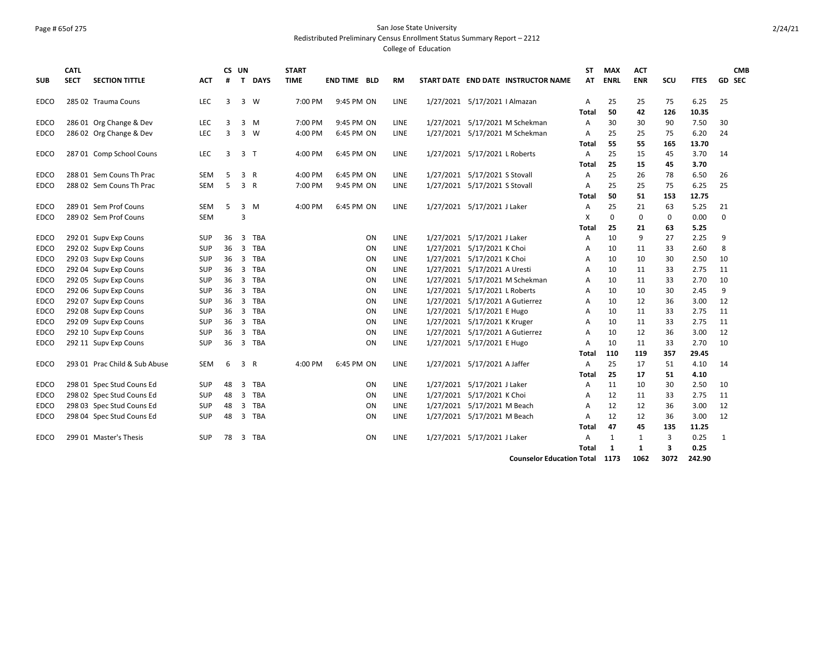# Page # 65of 275 San Jose State University

Redistributed Preliminary Census Enrollment Status Summary Report – 2212

College of Education

| <b>SUB</b>  | <b>CATL</b><br><b>SECT</b> | <b>SECTION TITTLE</b>         | ACT        | #  | CS UN<br>T     | <b>DAYS</b>  | <b>START</b><br><b>TIME</b> | <b>END TIME BLD</b> |     | <b>RM</b>   |           | START DATE END DATE INSTRUCTOR NAME | <b>ST</b><br>AT | <b>MAX</b><br><b>ENRL</b> | <b>ACT</b><br><b>ENR</b> | SCU            | <b>FTES</b> | GD SEC   | <b>CMB</b> |
|-------------|----------------------------|-------------------------------|------------|----|----------------|--------------|-----------------------------|---------------------|-----|-------------|-----------|-------------------------------------|-----------------|---------------------------|--------------------------|----------------|-------------|----------|------------|
|             |                            |                               |            |    |                |              |                             |                     |     |             |           |                                     |                 |                           |                          |                |             |          |            |
| EDCO        |                            | 285 02 Trauma Couns           | LEC        | 3  | 3              | W            | 7:00 PM                     | 9:45 PM ON          |     | LINE        |           | 1/27/2021 5/17/2021   Almazan       | A               | 25                        | 25                       | 75             | 6.25        | 25       |            |
|             |                            |                               |            |    |                |              |                             |                     |     |             |           |                                     | Total           | 50                        | 42                       | 126            | 10.35       |          |            |
| EDCO        |                            | 286 01 Org Change & Dev       | <b>LEC</b> | 3  | 3              | M            | 7:00 PM                     | 9:45 PM ON          |     | LINE        |           | 1/27/2021 5/17/2021 M Schekman      | A               | 30                        | 30                       | 90             | 7.50        | 30       |            |
| EDCO        |                            | 286 02 Org Change & Dev       | LEC        | 3  | 3              | W            | 4:00 PM                     | 6:45 PM ON          |     | LINE        |           | 1/27/2021 5/17/2021 M Schekman      | A               | 25                        | 25                       | 75             | 6.20        | 24       |            |
|             |                            |                               |            |    |                |              |                             |                     |     |             |           |                                     | Total           | 55                        | 55                       | 165            | 13.70       |          |            |
| EDCO        |                            | 287 01 Comp School Couns      | LEC        | 3  | $\overline{3}$ | ா            | 4:00 PM                     | 6:45 PM ON          |     | LINE        |           | 1/27/2021 5/17/2021 L Roberts       | A               | 25                        | 15                       | 45             | 3.70        | 14       |            |
|             |                            |                               |            |    |                |              |                             |                     |     |             |           |                                     | Total           | 25                        | 15                       | 45             | 3.70        |          |            |
| <b>EDCO</b> |                            | 288 01 Sem Couns Th Prac      | SEM        | 5  | 3              | R            | 4:00 PM                     | 6:45 PM ON          |     | LINE        |           | 1/27/2021 5/17/2021 S Stovall       | Α               | 25                        | 26                       | 78             | 6.50        | 26       |            |
| EDCO        |                            | 288 02 Sem Couns Th Prac      | <b>SEM</b> | 5  | 3              | $\mathsf{R}$ | 7:00 PM                     | 9:45 PM ON          |     | LINE        |           | 1/27/2021 5/17/2021 S Stovall       | A               | 25                        | 25                       | 75             | 6.25        | 25       |            |
|             |                            |                               |            |    |                |              |                             |                     |     |             |           |                                     | <b>Total</b>    | 50                        | 51                       | 153            | 12.75       |          |            |
| EDCO        |                            | 289 01 Sem Prof Couns         | <b>SEM</b> | 5  | 3              | M            | 4:00 PM                     | 6:45 PM ON          |     | LINE        |           | 1/27/2021 5/17/2021 J Laker         | A               | 25                        | 21                       | 63             | 5.25        | 21       |            |
| EDCO        |                            | 289 02 Sem Prof Couns         | <b>SEM</b> |    | 3              |              |                             |                     |     |             |           |                                     | X               | 0                         | 0                        | 0              | 0.00        | $\Omega$ |            |
|             |                            |                               |            |    |                |              |                             |                     |     |             |           |                                     | Total           | 25                        | 21                       | 63             | 5.25        |          |            |
| EDCO        |                            | 292 01 Supv Exp Couns         | <b>SUP</b> | 36 | 3              | <b>TBA</b>   |                             |                     | ON  | LINE        |           | 1/27/2021 5/17/2021 J Laker         | A               | 10                        | 9                        | 27             | 2.25        | 9        |            |
| EDCO        |                            | 292 02 Supv Exp Couns         | SUP        | 36 | 3              | <b>TBA</b>   |                             |                     | ON  | LINE        | 1/27/2021 | 5/17/2021 K Choi                    | Α               | 10                        | 11                       | 33             | 2.60        | 8        |            |
| EDCO        |                            | 292 03 Supv Exp Couns         | <b>SUP</b> | 36 | 3              | <b>TBA</b>   |                             |                     | ON  | LINE        | 1/27/2021 | 5/17/2021 K Choi                    | A               | 10                        | 10                       | 30             | 2.50        | 10       |            |
| EDCO        |                            | 292 04 Supv Exp Couns         | SUP        | 36 | 3              | TBA          |                             |                     | ΟN  | LINE        | 1/27/2021 | 5/17/2021 A Uresti                  | A               | 10                        | 11                       | 33             | 2.75        | 11       |            |
| EDCO        |                            | 292 05 Supv Exp Couns         | SUP        | 36 | 3              | <b>TBA</b>   |                             |                     | ON  | <b>LINE</b> | 1/27/2021 | 5/17/2021 M Schekman                | A               | 10                        | 11                       | 33             | 2.70        | 10       |            |
| EDCO        |                            | 292 06 Supv Exp Couns         | SUP        | 36 | 3              | TBA          |                             |                     | ΟN  | LINE        | 1/27/2021 | 5/17/2021 L Roberts                 | A               | 10                        | 10                       | 30             | 2.45        | 9        |            |
| EDCO        |                            | 292 07 Supv Exp Couns         | SUP        | 36 | 3              | <b>TBA</b>   |                             |                     | ON  | LINE        | 1/27/2021 | 5/17/2021 A Gutierrez               | A               | 10                        | 12                       | 36             | 3.00        | 12       |            |
| EDCO        |                            | 292 08 Supv Exp Couns         | SUP        | 36 | 3              | TBA          |                             |                     | ON  | LINE        | 1/27/2021 | 5/17/2021 E Hugo                    | Α               | 10                        | 11                       | 33             | 2.75        | 11       |            |
| EDCO        |                            | 292 09 Supv Exp Couns         | SUP        | 36 | 3              | <b>TBA</b>   |                             |                     | ON  | LINE        |           | 1/27/2021 5/17/2021 K Kruger        | A               | 10                        | 11                       | 33             | 2.75        | 11       |            |
| EDCO        |                            | 292 10 Supv Exp Couns         | <b>SUP</b> | 36 | 3              | <b>TBA</b>   |                             |                     | ON  | LINE        |           | 1/27/2021 5/17/2021 A Gutierrez     | A               | 10                        | 12                       | 36             | 3.00        | 12       |            |
| EDCO        |                            | 292 11 Supv Exp Couns         | SUP        | 36 | 3              | TBA          |                             |                     | ON  | LINE        |           | 1/27/2021 5/17/2021 E Hugo          | A               | 10                        | 11                       | 33             | 2.70        | 10       |            |
|             |                            |                               |            |    |                |              |                             |                     |     |             |           |                                     | Total           | 110                       | 119                      | 357            | 29.45       |          |            |
| EDCO        |                            | 293 01 Prac Child & Sub Abuse | <b>SEM</b> | 6  | 3              | R            | 4:00 PM                     | 6:45 PM ON          |     | LINE        |           | 1/27/2021 5/17/2021 A Jaffer        | Α               | 25                        | 17                       | 51             | 4.10        | 14       |            |
|             |                            |                               |            |    |                |              |                             |                     |     |             |           |                                     | Total           | 25                        | 17                       | 51             | 4.10        |          |            |
| EDCO        |                            | 298 01 Spec Stud Couns Ed     | SUP        | 48 | 3              | TBA          |                             |                     | ON  | LINE        |           | 1/27/2021 5/17/2021 J Laker         | A               | 11                        | 10                       | 30             | 2.50        | 10       |            |
| EDCO        |                            | 298 02 Spec Stud Couns Ed     | <b>SUP</b> | 48 | 3              | <b>TBA</b>   |                             |                     | ON. | LINE        | 1/27/2021 | 5/17/2021 K Choi                    | A               | 12                        | 11                       | 33             | 2.75        | 11       |            |
| EDCO        |                            | 298 03 Spec Stud Couns Ed     | <b>SUP</b> | 48 | 3              | <b>TBA</b>   |                             |                     | ON  | LINE        |           | 1/27/2021 5/17/2021 M Beach         | A               | 12                        | 12                       | 36             | 3.00        | 12       |            |
| EDCO        |                            | 298 04 Spec Stud Couns Ed     | SUP        | 48 | 3              | <b>TBA</b>   |                             |                     | ON. | LINE        |           | 1/27/2021 5/17/2021 M Beach         | A               | 12                        | 12                       | 36             | 3.00        | 12       |            |
|             |                            |                               |            |    |                |              |                             |                     |     |             |           |                                     | Total           | 47                        | 45                       | 135            | 11.25       |          |            |
| EDCO        |                            | 299 01 Master's Thesis        | <b>SUP</b> | 78 | 3              | TBA          |                             |                     | ON. | LINE        |           | 1/27/2021 5/17/2021 J Laker         | A               | 1                         | 1                        | $\overline{3}$ | 0.25        | 1        |            |
|             |                            |                               |            |    |                |              |                             |                     |     |             |           |                                     | Total           | 1                         | $\mathbf{1}$             | 3              | 0.25        |          |            |

**Counselor Education Total 1173 1062 3072 242.90**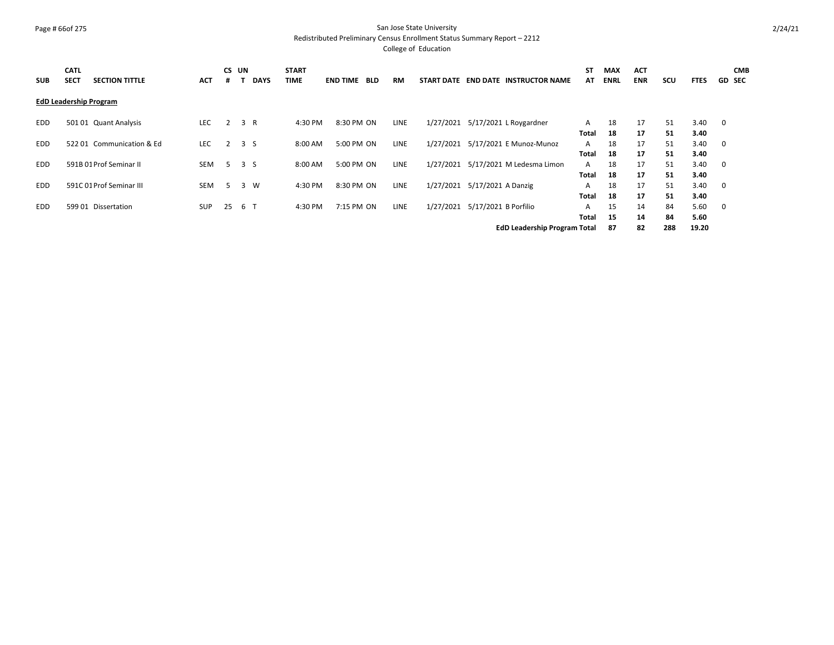# Page # 66of 275 San Jose State University

Redistributed Preliminary Census Enrollment Status Summary Report – 2212

| <b>SUB</b> | <b>CATL</b><br><b>SECT</b> | <b>SECTION TITTLE</b>         | <b>ACT</b> | .# | CS UN | <b>DAYS</b> | <b>START</b><br><b>TIME</b> | <b>END TIME</b> | <b>BLD</b> | RM          | START DATE END DATE INSTRUCTOR NAME | ST<br>AT     | <b>MAX</b><br><b>ENRL</b> | <b>ACT</b><br><b>ENR</b> | SCU | <b>FTES</b> |                         | <b>CMB</b><br><b>GD SEC</b> |
|------------|----------------------------|-------------------------------|------------|----|-------|-------------|-----------------------------|-----------------|------------|-------------|-------------------------------------|--------------|---------------------------|--------------------------|-----|-------------|-------------------------|-----------------------------|
|            |                            | <b>EdD Leadership Program</b> |            |    |       |             |                             |                 |            |             |                                     |              |                           |                          |     |             |                         |                             |
| <b>EDD</b> |                            | 501 01 Quant Analysis         | <b>LEC</b> |    | 3 R   |             | 4:30 PM                     |                 | 8:30 PM ON | LINE        | 1/27/2021 5/17/2021 L Roygardner    | A            | 18                        | 17                       | 51  | 3.40        | $\overline{\mathbf{0}}$ |                             |
|            |                            |                               |            |    |       |             |                             |                 |            |             |                                     | <b>Total</b> | 18                        | 17                       | 51  | 3.40        |                         |                             |
| <b>EDD</b> |                            | 522 01 Communication & Ed     | <b>LEC</b> | 2  | 3S    |             | 8:00 AM                     |                 | 5:00 PM ON | LINE        | 1/27/2021 5/17/2021 E Munoz-Munoz   | A            | 18                        | 17                       | 51  | 3.40        | $\overline{\mathbf{0}}$ |                             |
|            |                            |                               |            |    |       |             |                             |                 |            |             |                                     | Total        | 18                        | 17                       | 51  | 3.40        |                         |                             |
| <b>EDD</b> |                            | 591B 01 Prof Seminar II       | SEM        | 5. | 3 S   |             | 8:00 AM                     |                 | 5:00 PM ON | <b>LINE</b> | 1/27/2021 5/17/2021 M Ledesma Limon | A            | 18                        | 17                       | 51  | 3.40        | $\overline{\mathbf{0}}$ |                             |
|            |                            |                               |            |    |       |             |                             |                 |            |             |                                     | Total        | 18                        | 17                       | 51  | 3.40        |                         |                             |
| <b>EDD</b> |                            | 591C 01 Prof Seminar III      | <b>SEM</b> | 5  | 3     | W           | 4:30 PM                     |                 | 8:30 PM ON | LINE        | 1/27/2021 5/17/2021 A Danzig        | A            | 18                        | 17                       | 51  | 3.40        | $\overline{\mathbf{0}}$ |                             |
|            |                            |                               |            |    |       |             |                             |                 |            |             |                                     | Total        | 18                        | 17                       | 51  | 3.40        |                         |                             |
| <b>EDD</b> |                            | 599 01 Dissertation           | <b>SUP</b> | 25 | 6 T   |             | 4:30 PM                     |                 | 7:15 PM ON | LINE        | 1/27/2021 5/17/2021 B Porfilio      | A            | 15                        | 14                       | 84  | 5.60        | $\overline{\mathbf{0}}$ |                             |
|            |                            |                               |            |    |       |             |                             |                 |            |             |                                     | Total        | 15                        | 14                       | 84  | 5.60        |                         |                             |
|            |                            |                               |            |    |       |             |                             |                 |            |             | <b>EdD Leadership Program Total</b> |              | 87                        | 82                       | 288 | 19.20       |                         |                             |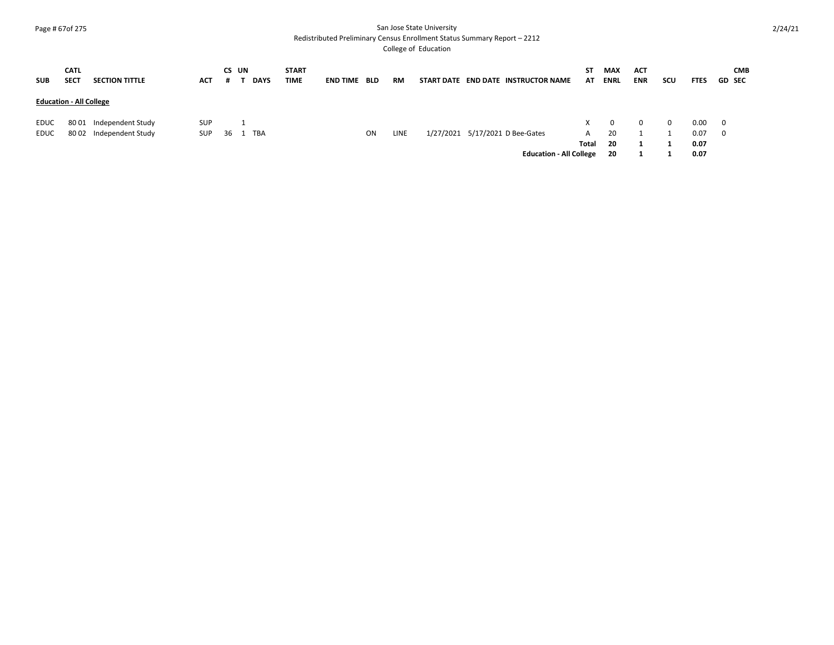# Page # 67of 275 San Jose State University

Redistributed Preliminary Census Enrollment Status Summary Report – 2212

| <b>SUB</b>   | <b>CATL</b><br><b>SECT</b>     | <b>SECTION TITTLE</b>                              | <b>ACT</b>        |    | CS UN | <b>DAYS</b> | <b>START</b><br><b>TIME</b> | <b>END TIME</b> | <b>BLD</b> | RM   | START DATE END DATE INSTRUCTOR NAME                               | ST.<br>AT         | <b>MAX</b><br><b>ENRL</b>  | <b>ACT</b><br><b>ENR</b> | scu      | <b>FTES</b>                  |                                                    | <b>CMB</b><br><b>GD SEC</b> |
|--------------|--------------------------------|----------------------------------------------------|-------------------|----|-------|-------------|-----------------------------|-----------------|------------|------|-------------------------------------------------------------------|-------------------|----------------------------|--------------------------|----------|------------------------------|----------------------------------------------------|-----------------------------|
|              | <b>Education - All College</b> |                                                    |                   |    |       |             |                             |                 |            |      |                                                                   |                   |                            |                          |          |                              |                                                    |                             |
| EDUC<br>EDUC |                                | 80 01 Independent Study<br>80 02 Independent Study | SUP<br><b>SUP</b> | 36 |       | <b>TBA</b>  |                             |                 | <b>ON</b>  | LINE | 1/27/2021 5/17/2021 D Bee-Gates<br><b>Education - All College</b> | A<br><b>Total</b> | $\Omega$<br>20<br>20<br>20 | 0                        | $\Omega$ | 0.00<br>0.07<br>0.07<br>0.07 | $\overline{\mathbf{0}}$<br>$\overline{\mathbf{0}}$ |                             |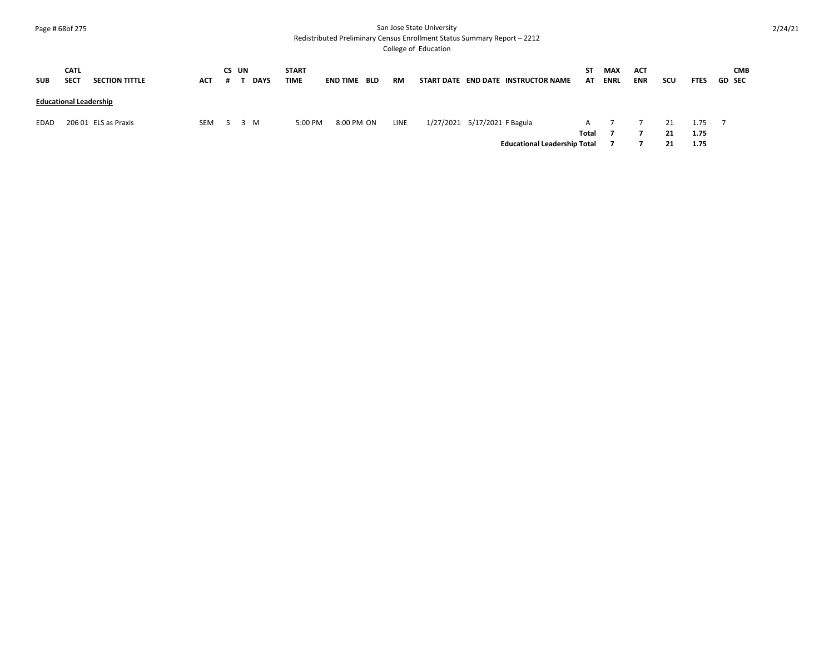# Page # 68of 275 San Jose State University

Redistributed Preliminary Census Enrollment Status Summary Report – 2212

| <b>SUB</b>  | <b>CATL</b><br><b>SECT</b>    | <b>SECTION TITTLE</b> | <b>ACT</b> | CS UN | <b>DAYS</b> | <b>START</b><br><b>TIME</b> | <b>END TIME</b> | <b>BLD</b> | <b>RM</b> |                              | START DATE END DATE INSTRUCTOR NAME | ST.<br>AT | <b>MAX</b><br><b>ENRL</b> | <b>ACT</b><br><b>ENR</b> | scu            | <b>FTES</b>          | <b>CMB</b><br><b>GD SEC</b> |
|-------------|-------------------------------|-----------------------|------------|-------|-------------|-----------------------------|-----------------|------------|-----------|------------------------------|-------------------------------------|-----------|---------------------------|--------------------------|----------------|----------------------|-----------------------------|
|             | <b>Educational Leadership</b> |                       |            |       |             |                             |                 |            |           |                              |                                     |           |                           |                          |                |                      |                             |
| <b>EDAD</b> |                               | 206 01 ELS as Praxis  | SEM        | 5 3 M |             | 5:00 PM                     |                 | 8:00 PM ON | LINE      | 1/27/2021 5/17/2021 F Bagula | <b>Educational Leadership Total</b> | Total     |                           |                          | 21<br>21<br>21 | 1.75<br>1.75<br>1.75 |                             |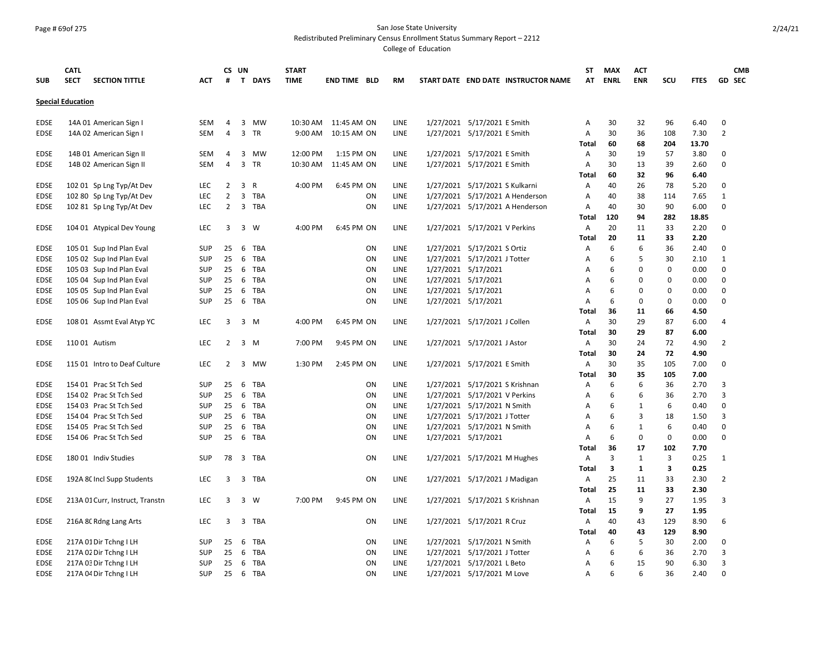# Page # 69of 275 San Jose State University

Redistributed Preliminary Census Enrollment Status Summary Report – 2212

|                            | <b>CATL</b>              |                                                      |                   |                | CS UN          |              | <b>START</b> |                     |          |              |                     |                                |                                     | ST           | <b>MAX</b>  | <b>ACT</b>   |            |              |                | <b>CMB</b> |
|----------------------------|--------------------------|------------------------------------------------------|-------------------|----------------|----------------|--------------|--------------|---------------------|----------|--------------|---------------------|--------------------------------|-------------------------------------|--------------|-------------|--------------|------------|--------------|----------------|------------|
| <b>SUB</b>                 | <b>SECT</b>              | <b>SECTION TITTLE</b>                                | ACT               | #              | $\mathsf{T}$   | <b>DAYS</b>  | <b>TIME</b>  | <b>END TIME BLD</b> |          | <b>RM</b>    |                     |                                | START DATE END DATE INSTRUCTOR NAME | AT           | <b>ENRL</b> | <b>ENR</b>   | <b>SCU</b> | <b>FTES</b>  | <b>GD SEC</b>  |            |
|                            | <b>Special Education</b> |                                                      |                   |                |                |              |              |                     |          |              |                     |                                |                                     |              |             |              |            |              |                |            |
| EDSE                       | 14A 01 American Sign I   |                                                      | <b>SEM</b>        | 4              | 3              | MW           | 10:30 AM     | 11:45 AM ON         |          | LINE         |                     | 1/27/2021 5/17/2021 E Smith    |                                     | Α            | 30          | 32           | 96         | 6.40         | 0              |            |
| <b>EDSE</b>                | 14A 02 American Sign I   |                                                      | SEM               | 4              | 3              | TR           |              | 9:00 AM 10:15 AM ON |          | LINE         |                     | 1/27/2021 5/17/2021 E Smith    |                                     | Α            | 30          | 36           | 108        | 7.30         | $\overline{2}$ |            |
|                            |                          |                                                      |                   |                |                |              |              |                     |          |              |                     |                                |                                     | Total        | 60          | 68           | 204        | 13.70        |                |            |
| <b>EDSE</b>                |                          | 14B 01 American Sign II                              | <b>SEM</b>        | 4              | $\overline{3}$ | MW           | 12:00 PM     | 1:15 PM ON          |          | LINE         |                     | 1/27/2021 5/17/2021 E Smith    |                                     | Α            | 30          | 19           | 57         | 3.80         | 0              |            |
| <b>EDSE</b>                |                          | 14B 02 American Sign II                              | <b>SEM</b>        | 4              | 3              | TR           | 10:30 AM     | 11:45 AM ON         |          | LINE         |                     | 1/27/2021 5/17/2021 E Smith    |                                     | Α            | 30          | 13           | 39         | 2.60         | 0              |            |
|                            |                          |                                                      |                   |                |                |              |              |                     |          |              |                     |                                |                                     | Total        | 60          | 32           | 96         | 6.40         |                |            |
| EDSE                       |                          | 102 01 Sp Lng Typ/At Dev                             | <b>LEC</b>        | 2              | 3              | $\mathsf{R}$ | 4:00 PM      | 6:45 PM ON          |          | LINE         |                     | 1/27/2021 5/17/2021 S Kulkarni |                                     | A            | 40          | 26           | 78         | 5.20         | 0              |            |
| <b>EDSE</b>                |                          | 102 80 Sp Lng Typ/At Dev                             | <b>LEC</b>        | $\overline{2}$ | $\overline{3}$ | TBA          |              |                     | ON       | LINE         |                     |                                | 1/27/2021 5/17/2021 A Henderson     | A            | 40          | 38           | 114        | 7.65         | $\mathbf{1}$   |            |
| <b>EDSE</b>                |                          | 102 81 Sp Lng Typ/At Dev                             | <b>LEC</b>        | 2              | $\overline{3}$ | TBA          |              |                     | ON       | LINE         |                     |                                | 1/27/2021 5/17/2021 A Henderson     | Α            | 40          | 30           | 90         | 6.00         | 0              |            |
|                            |                          |                                                      |                   |                |                |              |              |                     |          |              |                     |                                |                                     | Total        | 120         | 94           | 282        | 18.85        |                |            |
| EDSE                       |                          | 104 01 Atypical Dev Young                            | LEC               | 3              | 3              | W            | 4:00 PM      | 6:45 PM ON          |          | LINE         |                     | 1/27/2021 5/17/2021 V Perkins  |                                     | A            | 20          | 11<br>11     | 33<br>33   | 2.20         | 0              |            |
|                            |                          |                                                      | <b>SUP</b>        | 25             | 6              | <b>TBA</b>   |              |                     | ON       | LINE         |                     | 1/27/2021 5/17/2021 S Ortiz    |                                     | Total<br>A   | 20<br>6     | 6            | 36         | 2.20<br>2.40 | 0              |            |
| <b>EDSE</b><br><b>EDSE</b> |                          | 105 01 Sup Ind Plan Eval<br>105 02 Sup Ind Plan Eval | <b>SUP</b>        | 25             | 6              | TBA          |              |                     | ON       | LINE         |                     | 1/27/2021 5/17/2021 J Totter   |                                     | A            | 6           | 5            | 30         | 2.10         | $\mathbf{1}$   |            |
| <b>EDSE</b>                |                          | 105 03 Sup Ind Plan Eval                             | <b>SUP</b>        | 25             | 6              | TBA          |              |                     | ON       | LINE         | 1/27/2021 5/17/2021 |                                |                                     | A            | 6           | 0            | 0          | 0.00         | 0              |            |
| <b>EDSE</b>                |                          | 105 04 Sup Ind Plan Eval                             | <b>SUP</b>        | 25             | 6              | TBA          |              |                     | ON       | LINE         | 1/27/2021 5/17/2021 |                                |                                     | A            | 6           | $\Omega$     | 0          | 0.00         | 0              |            |
| <b>EDSE</b>                |                          | 105 05 Sup Ind Plan Eval                             | <b>SUP</b>        | 25             | 6              | TBA          |              |                     | ON       | LINE         | 1/27/2021 5/17/2021 |                                |                                     | A            | 6           | 0            | 0          | 0.00         | 0              |            |
| <b>EDSE</b>                |                          | 105 06 Sup Ind Plan Eval                             | <b>SUP</b>        | 25             | 6              | TBA          |              |                     | ON       | LINE         | 1/27/2021 5/17/2021 |                                |                                     | Α            | 6           | $\Omega$     | 0          | 0.00         | 0              |            |
|                            |                          |                                                      |                   |                |                |              |              |                     |          |              |                     |                                |                                     | Total        | 36          | 11           | 66         | 4.50         |                |            |
| EDSE                       |                          | 108 01 Assmt Eval Atyp YC                            | <b>LEC</b>        | 3              |                | 3 M          | 4:00 PM      | 6:45 PM ON          |          | LINE         |                     | 1/27/2021 5/17/2021 J Collen   |                                     | Α            | 30          | 29           | 87         | 6.00         | 4              |            |
|                            |                          |                                                      |                   |                |                |              |              |                     |          |              |                     |                                |                                     | Total        | 30          | 29           | 87         | 6.00         |                |            |
| <b>EDSE</b>                | 110 01 Autism            |                                                      | <b>LEC</b>        | 2              | $\overline{3}$ | M            | 7:00 PM      | 9:45 PM ON          |          | <b>LINE</b>  |                     | 1/27/2021 5/17/2021 J Astor    |                                     | Α            | 30          | 24           | 72         | 4.90         | 2              |            |
|                            |                          |                                                      |                   |                |                |              |              |                     |          |              |                     |                                |                                     | Total        | 30          | 24           | 72         | 4.90         |                |            |
| EDSE                       |                          | 115 01 Intro to Deaf Culture                         | LEC               | 2              | 3              | MW           | 1:30 PM      | 2:45 PM ON          |          | LINE         |                     | 1/27/2021 5/17/2021 E Smith    |                                     | Α            | 30          | 35           | 105        | 7.00         | 0              |            |
|                            |                          |                                                      |                   |                |                |              |              |                     |          |              |                     |                                |                                     | Total        | 30          | 35           | 105        | 7.00         |                |            |
| <b>EDSE</b>                | 154 01 Prac St Tch Sed   |                                                      | <b>SUP</b>        | 25             | 6              | TBA          |              |                     | ON       | LINE         |                     | 1/27/2021 5/17/2021 S Krishnan |                                     | Α            | 6           | 6            | 36         | 2.70         | 3              |            |
| <b>EDSE</b>                | 154 02 Prac St Tch Sed   |                                                      | <b>SUP</b>        | 25             | 6              | <b>TBA</b>   |              |                     | ON       | LINE         |                     | 1/27/2021 5/17/2021 V Perkins  |                                     | A            | 6           | 6            | 36         | 2.70         | 3              |            |
| <b>EDSE</b>                | 154 03 Prac St Tch Sed   |                                                      | <b>SUP</b>        | 25             | 6              | <b>TBA</b>   |              |                     | ON       | LINE         |                     | 1/27/2021 5/17/2021 N Smith    |                                     | A            | 6           | $\mathbf{1}$ | 6          | 0.40         | 0              |            |
| EDSE                       | 154 04 Prac St Tch Sed   |                                                      | <b>SUP</b>        | 25             | 6              | TBA          |              |                     | ON       | LINE         |                     | 1/27/2021 5/17/2021 J Totter   |                                     | Α            | 6           | 3            | 18         | 1.50         | 3              |            |
| <b>EDSE</b>                | 154 05 Prac St Tch Sed   |                                                      | <b>SUP</b>        | 25             | 6              | TBA          |              |                     | ON       | LINE         |                     | 1/27/2021 5/17/2021 N Smith    |                                     | A            | 6           | $\mathbf{1}$ | 6          | 0.40         | 0              |            |
| <b>EDSE</b>                | 154 06 Prac St Tch Sed   |                                                      | <b>SUP</b>        | 25             | 6              | TBA          |              |                     | ON       | LINE         | 1/27/2021 5/17/2021 |                                |                                     | A            | 6           | $\mathbf 0$  | 0          | 0.00         | 0              |            |
|                            |                          |                                                      |                   |                |                |              |              |                     |          |              |                     |                                |                                     | Total        | 36          | 17           | 102        | 7.70         |                |            |
| EDSE                       | 180 01 Indiv Studies     |                                                      | <b>SUP</b>        | 78             |                | 3 TBA        |              |                     | ON       | LINE         |                     | 1/27/2021 5/17/2021 M Hughes   |                                     | Α            | 3           | 1            | 3          | 0.25         | 1              |            |
|                            |                          |                                                      |                   |                |                |              |              |                     |          |              |                     |                                |                                     | Total        | 3           | $\mathbf{1}$ | 3          | 0.25         |                |            |
| <b>EDSE</b>                |                          | 192A 8C Incl Supp Students                           | <b>LEC</b>        | 3              |                | 3 TBA        |              |                     | ON       | LINE         |                     | 1/27/2021 5/17/2021 J Madigan  |                                     | Α            | 25          | 11           | 33         | 2.30         | 2              |            |
|                            |                          |                                                      |                   |                |                |              |              |                     |          |              |                     |                                |                                     | <b>Total</b> | 25          | 11           | 33         | 2.30         |                |            |
| <b>EDSE</b>                |                          | 213A 01 Curr, Instruct, Transtn                      | LEC               | 3              |                | 3 W          | 7:00 PM      | 9:45 PM ON          |          | LINE         |                     | 1/27/2021 5/17/2021 S Krishnan |                                     | Α            | 15          | 9            | 27         | 1.95         | 3              |            |
|                            |                          |                                                      |                   |                |                |              |              |                     |          |              |                     |                                |                                     | Total        | 15          | 9            | 27         | 1.95         |                |            |
| <b>EDSE</b>                | 216A 8C Rdng Lang Arts   |                                                      | <b>LEC</b>        | 3              |                | 3 TBA        |              |                     | ON       | LINE         |                     | 1/27/2021 5/17/2021 R Cruz     |                                     | Α            | 40          | 43           | 129        | 8.90         | 6              |            |
|                            |                          |                                                      |                   |                |                |              |              |                     |          |              |                     |                                |                                     | Total        | 40          | 43           | 129        | 8.90         |                |            |
| <b>EDSE</b>                | 217A 01 Dir Tchng I LH   |                                                      | <b>SUP</b>        | 25             | 6              | TBA          |              |                     | ON       | LINE         |                     | 1/27/2021 5/17/2021 N Smith    |                                     | Α            | 6           | 5            | 30         | 2.00         | 0              |            |
| <b>EDSE</b>                | 217A 02 Dir Tchng I LH   |                                                      | <b>SUP</b>        | 25             | 6              | TBA          |              |                     | ON       | LINE         |                     | 1/27/2021 5/17/2021 J Totter   |                                     | Α            | 6           | 6            | 36         | 2.70         | 3              |            |
| EDSE<br><b>EDSE</b>        | 217A 03 Dir Tchng I LH   |                                                      | SUP<br><b>SUP</b> | 25<br>25       | -6             | TBA          |              |                     | ON<br>ON | LINE<br>LINE |                     | 1/27/2021 5/17/2021 L Beto     |                                     | Α            | 6<br>6      | 15<br>6      | 90<br>36   | 6.30<br>2.40 | 3<br>0         |            |
|                            | 217A 04 Dir Tchng I LH   |                                                      |                   |                | - 6            | TBA          |              |                     |          |              |                     | 1/27/2021 5/17/2021 M Love     |                                     | A            |             |              |            |              |                |            |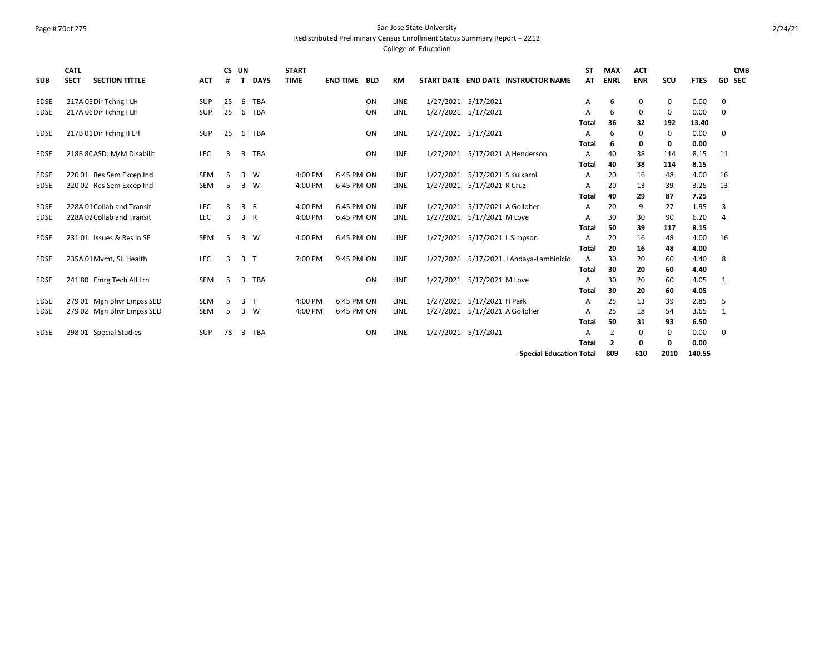# Page # 70of 275 San Jose State University

Redistributed Preliminary Census Enrollment Status Summary Report – 2212

College of Education

| <b>SUB</b>  | <b>CATL</b><br><b>SECT</b> | <b>SECTION TITTLE</b>      | <b>ACT</b> | CS UN<br># |    | <b>DAYS</b>  | <b>START</b><br><b>TIME</b> | <b>END TIME BLD</b> |    | <b>RM</b> |                     | START DATE END DATE INSTRUCTOR NAME | <b>ST</b><br>AT | <b>MAX</b><br><b>ENRL</b> | <b>ACT</b><br><b>ENR</b> | scu         | <b>FTES</b>   | <b>GD SEC</b>  | <b>CMB</b> |
|-------------|----------------------------|----------------------------|------------|------------|----|--------------|-----------------------------|---------------------|----|-----------|---------------------|-------------------------------------|-----------------|---------------------------|--------------------------|-------------|---------------|----------------|------------|
| EDSE        |                            | 217A 05 Dir Tchng I LH     | <b>SUP</b> | 25         | 6  | TBA          |                             |                     | ON | LINE      |                     | 1/27/2021 5/17/2021                 | A               | 6                         | 0                        | 0           | 0.00          | 0              |            |
| <b>EDSE</b> |                            | 217A Of Dir Tchng I LH     | <b>SUP</b> | 25         | -6 | <b>TBA</b>   |                             |                     | ON | LINE      |                     | 1/27/2021 5/17/2021                 | A               | 6                         | 0                        | 0           | 0.00          | 0              |            |
|             |                            |                            |            |            |    |              |                             |                     |    |           |                     |                                     | Total           | 36                        | 32                       | 192         | 13.40         |                |            |
| <b>EDSE</b> |                            | 217B 01 Dir Tchng II LH    | <b>SUP</b> | 25         | -6 | <b>TBA</b>   |                             |                     | ON | LINE      |                     | 1/27/2021 5/17/2021                 | A               | 6                         | 0                        | 0           | 0.00          | 0              |            |
|             |                            |                            |            |            |    |              |                             |                     |    |           |                     |                                     | Total           | -6                        | 0                        | 0           | 0.00          |                |            |
| <b>EDSE</b> |                            | 218B 8C ASD: M/M Disabilit | LEC        | 3          | 3  | <b>TBA</b>   |                             |                     | ON | LINE      |                     | 1/27/2021 5/17/2021 A Henderson     | A               | 40                        | 38                       | 114         | 8.15          | 11             |            |
|             |                            |                            |            |            |    |              |                             |                     |    |           |                     |                                     | <b>Total</b>    | 40                        | 38                       | 114         | 8.15          |                |            |
| <b>EDSE</b> |                            | 220 01 Res Sem Excep Ind   | SEM        | 5          | 3  | W            | 4:00 PM                     | 6:45 PM ON          |    | LINE      | 1/27/2021           | 5/17/2021 S Kulkarni                | A               | 20                        | 16                       | 48          | 4.00          | 16             |            |
| <b>EDSE</b> |                            | 220 02 Res Sem Excep Ind   | SEM        | 5          | 3  | W            | 4:00 PM                     | 6:45 PM ON          |    | LINE      | 1/27/2021           | 5/17/2021 R Cruz                    | A               | 20                        | 13                       | 39          | 3.25          | 13             |            |
|             |                            |                            |            |            |    |              |                             |                     |    |           |                     |                                     | <b>Total</b>    | 40                        | 29                       | 87          | 7.25          |                |            |
| <b>EDSE</b> |                            | 228A 01 Collab and Transit | LEC        | 3          | 3  | $\mathsf{R}$ | 4:00 PM                     | 6:45 PM ON          |    | LINE      | 1/27/2021           | 5/17/2021 A Golloher                | A               | 20                        | 9                        | 27          | 1.95          | 3              |            |
| <b>EDSE</b> |                            | 228A 02 Collab and Transit | LEC        | 3          | 3  | R            | 4:00 PM                     | 6:45 PM ON          |    | LINE      | 1/27/2021           | 5/17/2021 M Love                    | A               | 30                        | 30                       | 90          | 6.20          | $\overline{4}$ |            |
|             |                            |                            |            |            |    |              |                             |                     |    |           |                     |                                     | <b>Total</b>    | 50                        | 39                       | 117         | 8.15          |                |            |
| <b>EDSE</b> |                            | 231 01 Issues & Res in SE  | <b>SEM</b> | 5          | 3  | W            | 4:00 PM                     | 6:45 PM ON          |    | LINE      |                     | 1/27/2021 5/17/2021 L Simpson       | A               | 20                        | 16                       | 48          | 4.00          | 16             |            |
|             |                            |                            |            |            |    |              |                             |                     |    |           |                     |                                     | <b>Total</b>    | 20                        | 16                       | 48          | 4.00          |                |            |
| <b>EDSE</b> |                            | 235A 01 Mvmt, SI, Health   | LEC        | 3          | 3  |              | 7:00 PM                     | 9:45 PM ON          |    | LINE      | 1/27/2021           | 5/17/2021 J Andaya-Lambinicio       | $\overline{A}$  | 30                        | 20                       | 60          | 4.40          | 8              |            |
|             |                            |                            |            |            |    |              |                             |                     |    |           |                     |                                     | Total           | 30                        | 20                       | 60          | 4.40          |                |            |
| <b>EDSE</b> |                            | 241 80 Emrg Tech All Lrn   | SEM        | 5          | 3  | <b>TBA</b>   |                             |                     | ON | LINE      |                     | 1/27/2021 5/17/2021 M Love          | A               | 30                        | 20                       | 60          | 4.05          | 1              |            |
|             |                            |                            |            |            |    |              |                             |                     |    |           |                     |                                     | Total           | 30                        | 20                       | 60          | 4.05          |                |            |
| EDSE        |                            | 279 01 Mgn Bhvr Empss SED  | <b>SEM</b> | 5          | 3  |              | 4:00 PM                     | 6:45 PM ON          |    | LINE      | 1/27/2021           | 5/17/2021 H Park                    | A               | 25                        | 13                       | 39          | 2.85          | 5              |            |
| <b>EDSE</b> |                            | 279 02 Mgn Bhvr Empss SED  | SEM        | 5          | 3  | W            | 4:00 PM                     | 6:45 PM ON          |    | LINE      | 1/27/2021           | 5/17/2021 A Golloher                | A               | 25                        | 18                       | 54          | 3.65          | 1              |            |
|             |                            |                            |            |            |    |              |                             |                     |    |           |                     |                                     | Total           | 50                        | 31                       | 93          | 6.50          |                |            |
| <b>EDSE</b> |                            | 298 01 Special Studies     | <b>SUP</b> | 78         | 3  | <b>TBA</b>   |                             |                     | ON | LINE      | 1/27/2021 5/17/2021 |                                     | A               | 2                         | 0                        | 0           | 0.00          | 0              |            |
|             |                            |                            |            |            |    |              |                             |                     |    |           |                     |                                     | <b>Total</b>    | $\overline{2}$            | $\mathbf{o}$             | 0           | 0.00          |                |            |
|             |                            |                            |            |            |    |              |                             |                     |    |           |                     | Concial Education Total             |                 | 000                       | <b>610</b>               | <b>2010</b> | <b>140 EE</b> |                |            |

**Special Education Total 809 610 2010 140.55**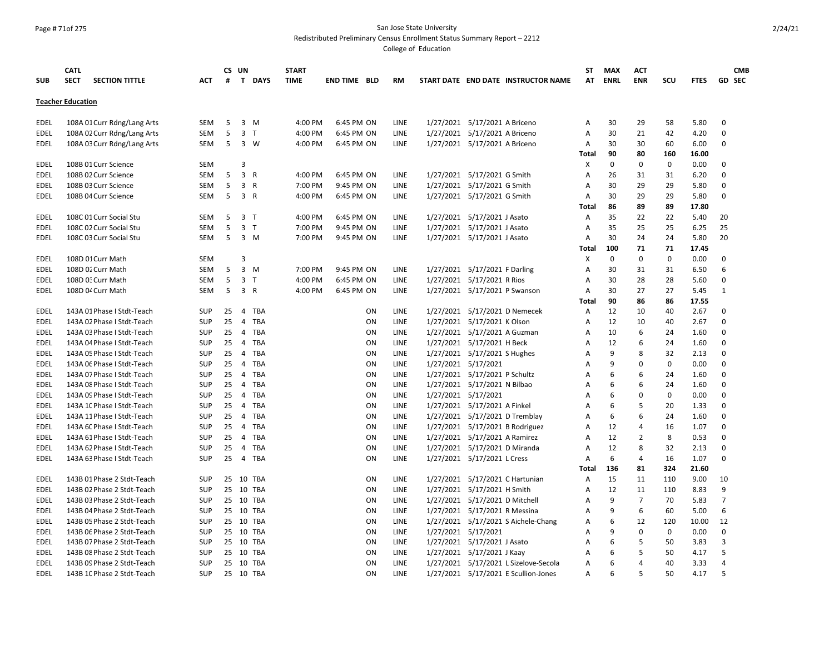# Page # 71of 275 San Jose State University

Redistributed Preliminary Census Enrollment Status Summary Report – 2212

|                          | <b>CATL</b>                          |            |                 | CS UN                   |              | <b>START</b> |                     |    |             |                     |                                |                                       | ST           | <b>MAX</b>  | <b>ACT</b>     |             |             | <b>CMB</b>     |
|--------------------------|--------------------------------------|------------|-----------------|-------------------------|--------------|--------------|---------------------|----|-------------|---------------------|--------------------------------|---------------------------------------|--------------|-------------|----------------|-------------|-------------|----------------|
| <b>SUB</b>               | <b>SECT</b><br><b>SECTION TITTLE</b> | ACT        | #               | $\mathsf{T}$            | <b>DAYS</b>  | <b>TIME</b>  | <b>END TIME BLD</b> |    | RM          |                     |                                | START DATE END DATE INSTRUCTOR NAME   | AT           | <b>ENRL</b> | <b>ENR</b>     | <b>SCU</b>  | <b>FTES</b> | <b>GD SEC</b>  |
| <b>Teacher Education</b> |                                      |            |                 |                         |              |              |                     |    |             |                     |                                |                                       |              |             |                |             |             |                |
| EDEL                     | 108A 01 Curr Rdng/Lang Arts          | SEM        | 5               | 3                       | M            | 4:00 PM      | 6:45 PM ON          |    | LINE        |                     | 1/27/2021 5/17/2021 A Briceno  |                                       | Α            | 30          | 29             | 58          | 5.80        | 0              |
| <b>EDEL</b>              | 108A 02 Curr Rdng/Lang Arts          | <b>SEM</b> | 5               | 3                       | T            | 4:00 PM      | 6:45 PM ON          |    | LINE        |                     | 1/27/2021 5/17/2021 A Briceno  |                                       | Α            | 30          | 21             | 42          | 4.20        | 0              |
| <b>EDEL</b>              | 108A 03 Curr Rdng/Lang Arts          | SEM        | $5\phantom{.0}$ | 3 W                     |              | 4:00 PM      | 6:45 PM ON          |    | LINE        |                     | 1/27/2021 5/17/2021 A Briceno  |                                       | Α            | 30          | 30             | 60          | 6.00        | 0              |
|                          |                                      |            |                 |                         |              |              |                     |    |             |                     |                                |                                       | Total        | 90          | 80             | 160         | 16.00       |                |
| <b>EDEL</b>              | 108B 01 Curr Science                 | <b>SEM</b> |                 | 3                       |              |              |                     |    |             |                     |                                |                                       | X            | $\mathsf 0$ | $\mathbf 0$    | $\mathbf 0$ | 0.00        | 0              |
| EDEL                     | 108B 02 Curr Science                 | <b>SEM</b> | 5               | $\overline{3}$          | $\mathsf{R}$ | 4:00 PM      | 6:45 PM ON          |    | LINE        |                     | 1/27/2021 5/17/2021 G Smith    |                                       | A            | 26          | 31             | 31          | 6.20        | 0              |
| EDEL                     | 108B 03 Curr Science                 | <b>SEM</b> | 5               | $\overline{3}$          | $\mathsf{R}$ | 7:00 PM      | 9:45 PM ON          |    | LINE        |                     | 1/27/2021 5/17/2021 G Smith    |                                       | A            | 30          | 29             | 29          | 5.80        | 0              |
| EDEL                     | 108B 04 Curr Science                 | SEM        | 5               | 3 R                     |              | 4:00 PM      | 6:45 PM ON          |    | LINE        |                     | 1/27/2021 5/17/2021 G Smith    |                                       | A            | 30          | 29             | 29          | 5.80        | 0              |
|                          |                                      |            |                 |                         |              |              |                     |    |             |                     |                                |                                       | <b>Total</b> | 86          | 89             | 89          | 17.80       |                |
| <b>EDEL</b>              | 108C 01 Curr Social Stu              | <b>SEM</b> | 5               | $\overline{\mathbf{3}}$ | T            | 4:00 PM      | 6:45 PM ON          |    | LINE        |                     | 1/27/2021 5/17/2021 J Asato    |                                       | Α            | 35          | 22             | 22          | 5.40        | 20             |
| <b>EDEL</b>              | 108C 02 Curr Social Stu              | <b>SEM</b> | 5               | 3 <sub>T</sub>          |              | 7:00 PM      | 9:45 PM ON          |    | LINE        |                     | 1/27/2021 5/17/2021 J Asato    |                                       | A            | 35          | 25             | 25          | 6.25        | 25             |
| <b>EDEL</b>              | 108C 03 Curr Social Stu              | SEM        | 5               | 3 M                     |              | 7:00 PM      | 9:45 PM ON          |    | LINE        |                     | 1/27/2021 5/17/2021 J Asato    |                                       | A            | 30          | 24             | 24          | 5.80        | 20             |
|                          |                                      |            |                 |                         |              |              |                     |    |             |                     |                                |                                       | Total        | 100         | 71             | 71          | 17.45       |                |
| <b>EDEL</b>              | 108D 01 Curr Math                    | <b>SEM</b> |                 | 3                       |              |              |                     |    |             |                     |                                |                                       | X            | $\mathbf 0$ | $\Omega$       | 0           | 0.00        | 0              |
| <b>EDEL</b>              | 108D 02 Curr Math                    | SEM        | 5               | $3 \, M$                |              | 7:00 PM      | 9:45 PM ON          |    | LINE        |                     | 1/27/2021 5/17/2021 F Darling  |                                       | Α            | 30          | 31             | 31          | 6.50        | 6              |
| EDEL                     | 108D 0: Curr Math                    | SEM        | 5               | 3 <sub>T</sub>          |              | 4:00 PM      | 6:45 PM ON          |    | LINE        |                     | 1/27/2021 5/17/2021 R Rios     |                                       | Α            | 30          | 28             | 28          | 5.60        | 0              |
| EDEL                     | 108D 04 Curr Math                    | SEM        | 5               | 3 R                     |              | 4:00 PM      | 6:45 PM ON          |    | LINE        |                     | 1/27/2021 5/17/2021 P Swanson  |                                       | Α            | 30          | 27             | 27          | 5.45        | $\mathbf{1}$   |
|                          |                                      |            |                 |                         |              |              |                     |    |             |                     |                                |                                       | Total        | 90          | 86             | 86          | 17.55       |                |
| EDEL                     | 143A 01 Phase I Stdt-Teach           | <b>SUP</b> | 25              | $\overline{4}$          | <b>TBA</b>   |              |                     | ON | LINE        |                     | 1/27/2021 5/17/2021 D Nemecek  |                                       | A            | 12          | 10             | 40          | 2.67        | 0              |
| <b>EDEL</b>              | 143A 02 Phase I Stdt-Teach           | <b>SUP</b> | 25              | $\overline{4}$          | <b>TBA</b>   |              |                     | ON | LINE        |                     | 1/27/2021 5/17/2021 K Olson    |                                       | A            | 12          | 10             | 40          | 2.67        | 0              |
| EDEL                     | 143A 03 Phase I Stdt-Teach           | SUP        | 25              |                         | 4 TBA        |              |                     | ON | LINE        |                     | 1/27/2021 5/17/2021 A Guzman   |                                       | A            | 10          | 6              | 24          | 1.60        | 0              |
| EDEL                     | 143A 04 Phase I Stdt-Teach           | <b>SUP</b> | 25              | $\overline{4}$          | TBA          |              |                     | ON | LINE        |                     | 1/27/2021 5/17/2021 H Beck     |                                       | A            | 12          | 6              | 24          | 1.60        | 0              |
| <b>EDEL</b>              | 143A 05 Phase I Stdt-Teach           | <b>SUP</b> | 25              | $\overline{4}$          | TBA          |              |                     | ON | LINE        |                     | 1/27/2021 5/17/2021 S Hughes   |                                       | A            | 9           | 8              | 32          | 2.13        | 0              |
| <b>EDEL</b>              | 143A OE Phase I Stdt-Teach           | <b>SUP</b> | 25              | $\overline{4}$          | <b>TBA</b>   |              |                     | ON | LINE        | 1/27/2021 5/17/2021 |                                |                                       | A            | 9           | $\Omega$       | 0           | 0.00        | 0              |
| <b>EDEL</b>              | 143A 07 Phase I Stdt-Teach           | SUP        | 25              |                         | 4 TBA        |              |                     | ON | LINE        |                     | 1/27/2021 5/17/2021 P Schultz  |                                       | A            | 6           | 6              | 24          | 1.60        | 0              |
| <b>EDEL</b>              | 143A 08 Phase I Stdt-Teach           | SUP        | 25              | $\overline{4}$          | TBA          |              |                     | ON | LINE        |                     | 1/27/2021 5/17/2021 N Bilbao   |                                       | A            | 6           | 6              | 24          | 1.60        | 0              |
| <b>EDEL</b>              | 143A OS Phase I Stdt-Teach           | <b>SUP</b> | 25              | 4                       | TBA          |              |                     | ON | LINE        |                     | 1/27/2021 5/17/2021            |                                       | A            | 6           | $\Omega$       | 0           | 0.00        | 0              |
| <b>EDEL</b>              | 143A 1C Phase I Stdt-Teach           | <b>SUP</b> | 25              | 4                       | TBA          |              |                     | ON | LINE        |                     | 1/27/2021 5/17/2021 A Finkel   |                                       | A            | 6           | 5              | 20          | 1.33        | 0              |
| <b>EDEL</b>              | 143A 11 Phase I Stdt-Teach           | <b>SUP</b> | 25              | $\overline{4}$          | TBA          |              |                     | ON | LINE        |                     | 1/27/2021 5/17/2021 D Tremblay |                                       | A            | 6           | 6              | 24          | 1.60        | 0              |
| <b>EDEL</b>              | 143A 6C Phase I Stdt-Teach           | <b>SUP</b> | 25              | $\overline{4}$          | <b>TBA</b>   |              |                     | ON | LINE        |                     |                                | 1/27/2021 5/17/2021 B Rodriguez       | A            | 12          | 4              | 16          | 1.07        | $\Omega$       |
| <b>EDEL</b>              | 143A 61 Phase I Stdt-Teach           | <b>SUP</b> | 25              | $\overline{4}$          | TBA          |              |                     | ON | LINE        |                     | 1/27/2021 5/17/2021 A Ramirez  |                                       | A            | 12          | $\overline{2}$ | 8           | 0.53        | 0              |
| <b>EDEL</b>              | 143A 62 Phase I Stdt-Teach           | <b>SUP</b> | 25              | $\overline{4}$          | <b>TBA</b>   |              |                     | ON | LINE        |                     | 1/27/2021 5/17/2021 D Miranda  |                                       | A            | 12          | 8              | 32          | 2.13        | 0              |
| <b>EDEL</b>              | 143A 63 Phase I Stdt-Teach           | <b>SUP</b> | 25              | 4 TBA                   |              |              |                     | ON | LINE        |                     | 1/27/2021 5/17/2021 L Cress    |                                       | A            | 6           | 4              | 16          | 1.07        | 0              |
|                          |                                      |            |                 |                         |              |              |                     |    |             |                     |                                |                                       | <b>Total</b> | 136         | 81             | 324         | 21.60       |                |
| <b>EDEL</b>              | 143B 01 Phase 2 Stdt-Teach           | <b>SUP</b> |                 | 25 10 TBA               |              |              |                     | ON | LINE        |                     |                                | 1/27/2021 5/17/2021 C Hartunian       | A            | 15          | 11             | 110         | 9.00        | 10             |
| EDEL                     | 143B 02 Phase 2 Stdt-Teach           | SUP        |                 | 25 10 TBA               |              |              |                     | ON | LINE        |                     | 1/27/2021 5/17/2021 H Smith    |                                       | A            | 12          | 11             | 110         | 8.83        | 9              |
| <b>EDEL</b>              | 143B 03 Phase 2 Stdt-Teach           | SUP        |                 | 25 10 TBA               |              |              |                     | ON | LINE        |                     | 1/27/2021 5/17/2021 D Mitchell |                                       | A            | 9           | $\overline{7}$ | 70          | 5.83        | $\overline{7}$ |
| <b>EDEL</b>              | 143B 04 Phase 2 Stdt-Teach           | <b>SUP</b> |                 | 25 10 TBA               |              |              |                     | ON | LINE        |                     | 1/27/2021 5/17/2021 R Messina  |                                       | Α            | 9           | 6              | 60          | 5.00        | 6              |
| <b>EDEL</b>              | 143B 05 Phase 2 Stdt-Teach           | <b>SUP</b> |                 | 25 10 TBA               |              |              |                     | ON | <b>LINE</b> |                     |                                | 1/27/2021 5/17/2021 S Aichele-Chang   | Α            | 6           | 12             | 120         | 10.00       | 12             |
| EDEL                     | 143B 06 Phase 2 Stdt-Teach           | <b>SUP</b> |                 | 25 10 TBA               |              |              |                     | ON | LINE        |                     | 1/27/2021 5/17/2021            |                                       | A            | 9           | $\mathbf 0$    | $\mathbf 0$ | 0.00        | 0              |
| <b>EDEL</b>              | 143B 07 Phase 2 Stdt-Teach           | <b>SUP</b> |                 | 25 10                   | TBA          |              |                     | ON | LINE        |                     | 1/27/2021 5/17/2021 J Asato    |                                       | Α            | 6           | 5              | 50          | 3.83        | 3              |
| EDEL                     | 143B 08 Phase 2 Stdt-Teach           | SUP        |                 | 25 10 TBA               |              |              |                     | ΟN | LINE        |                     | 1/27/2021 5/17/2021 J Kaay     |                                       | Α            | 6           | 5              | 50          | 4.17        | 5              |
| <b>EDEL</b>              | 143B 09 Phase 2 Stdt-Teach           | <b>SUP</b> |                 | 25 10 TBA               |              |              |                     | ON | LINE        |                     |                                | 1/27/2021 5/17/2021 L Sizelove-Secola | Α            | 6           | 4              | 40          | 3.33        | 4              |
| <b>EDEL</b>              | 143B 1C Phase 2 Stdt-Teach           | <b>SUP</b> |                 | 25 10 TBA               |              |              |                     | ON | LINE        |                     |                                | 1/27/2021 5/17/2021 E Scullion-Jones  | A            | 6           | 5              | 50          | 4.17        | 5              |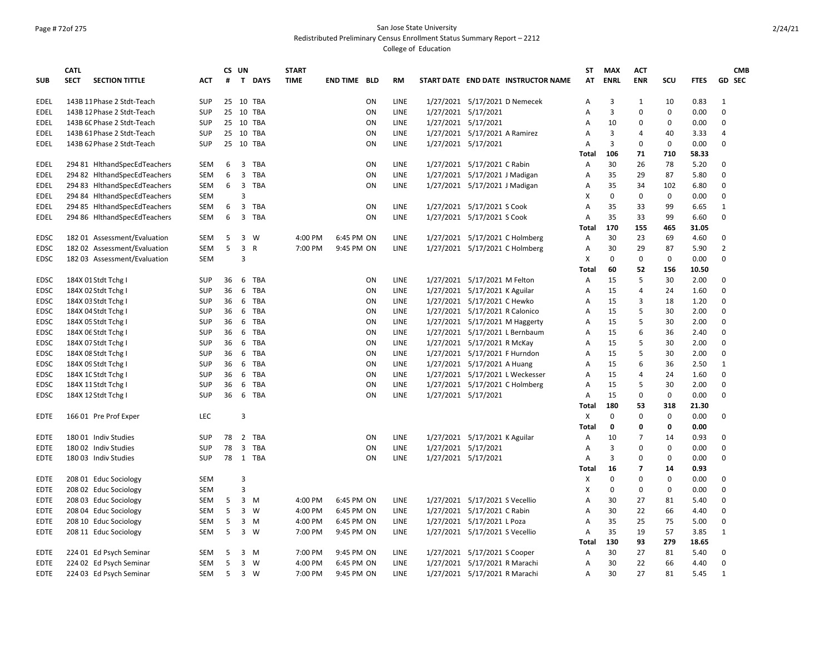# Page # 72of 275 San Jose State University

Redistributed Preliminary Census Enrollment Status Summary Report – 2212

|             | <b>CATL</b>                          |            |    | CS UN          |              | <b>START</b> |                     |           |             |                                     | ST             | <b>MAX</b>  | <b>ACT</b>     |             |             | <b>CMB</b>     |
|-------------|--------------------------------------|------------|----|----------------|--------------|--------------|---------------------|-----------|-------------|-------------------------------------|----------------|-------------|----------------|-------------|-------------|----------------|
| <b>SUB</b>  | <b>SECT</b><br><b>SECTION TITTLE</b> | <b>ACT</b> | #  | T              | <b>DAYS</b>  | <b>TIME</b>  | <b>END TIME BLD</b> |           | <b>RM</b>   | START DATE END DATE INSTRUCTOR NAME | AT             | <b>ENRL</b> | <b>ENR</b>     | SCU         | <b>FTES</b> | <b>GD SEC</b>  |
| <b>EDEL</b> | 143B 11 Phase 2 Stdt-Teach           | <b>SUP</b> |    |                | 25 10 TBA    |              |                     | ON        | <b>LINE</b> | 1/27/2021 5/17/2021 D Nemecek       | A              | 3           | $\mathbf{1}$   | 10          | 0.83        | 1              |
| EDEL        | 143B 12 Phase 2 Stdt-Teach           | SUP        |    |                | 25 10 TBA    |              |                     | ON        | LINE        | 1/27/2021 5/17/2021                 | Α              | 3           | 0              | 0           | 0.00        | $\mathbf 0$    |
| EDEL        | 143B 6C Phase 2 Stdt-Teach           | SUP        |    |                | 25 10 TBA    |              |                     | ON        | LINE        | 1/27/2021 5/17/2021                 | A              | 10          | 0              | 0           | 0.00        | 0              |
| EDEL        | 143B 61 Phase 2 Stdt-Teach           | <b>SUP</b> |    |                | 25 10 TBA    |              |                     | ON        | LINE        | 1/27/2021 5/17/2021 A Ramirez       | A              | 3           | 4              | 40          | 3.33        | $\overline{4}$ |
| EDEL        | 143B 62 Phase 2 Stdt-Teach           | <b>SUP</b> |    |                | 25 10 TBA    |              |                     | ON        | <b>LINE</b> | 1/27/2021 5/17/2021                 | A              | 3           | $\Omega$       | $\mathbf 0$ | 0.00        | 0              |
|             |                                      |            |    |                |              |              |                     |           |             |                                     | <b>Total</b>   | 106         | 71             | 710         | 58.33       |                |
| EDEL        | 294 81 HithandSpecEdTeachers         | SEM        | 6  | 3              | TBA          |              |                     | ON        | LINE        | 1/27/2021 5/17/2021 C Rabin         | Α              | 30          | 26             | 78          | 5.20        | 0              |
| EDEL        | 294 82 HithandSpecEdTeachers         | SEM        | 6  | 3              | TBA          |              |                     | ON        | LINE        | 1/27/2021 5/17/2021 J Madigan       | Α              | 35          | 29             | 87          | 5.80        | 0              |
| EDEL        | 294 83 HlthandSpecEdTeachers         | <b>SEM</b> | 6  | 3              | TBA          |              |                     | ON        | <b>LINE</b> | 1/27/2021 5/17/2021 J Madigan       | Α              | 35          | 34             | 102         | 6.80        | $\mathbf 0$    |
| EDEL        | 294 84 HithandSpecEdTeachers         | SEM        |    | 3              |              |              |                     |           |             |                                     | X              | 0           | 0              | $\mathbf 0$ | 0.00        | $\mathbf 0$    |
| EDEL        | 294 85 HlthandSpecEdTeachers         | SEM        | 6  | 3              | TBA          |              |                     | ON        | LINE        | 1/27/2021 5/17/2021 S Cook          | Α              | 35          | 33             | 99          | 6.65        | 1              |
| EDEL        | 294 86 HlthandSpecEdTeachers         | SEM        | 6  | $\overline{3}$ | TBA          |              |                     | ON        | LINE        | 1/27/2021 5/17/2021 S Cook          | Α              | 35          | 33             | 99          | 6.60        | $\mathbf 0$    |
|             |                                      |            |    |                |              |              |                     |           |             |                                     | Total          | 170         | 155            | 465         | 31.05       |                |
| <b>EDSC</b> | 182 01 Assessment/Evaluation         | <b>SEM</b> | 5  | 3              | W            | 4:00 PM      | 6:45 PM ON          |           | <b>LINE</b> | 1/27/2021 5/17/2021 C Holmberg      | A              | 30          | 23             | 69          | 4.60        | $\mathbf 0$    |
| EDSC        | 182 02 Assessment/Evaluation         | SEM        | 5  | 3              | $\mathsf{R}$ | 7:00 PM      | 9:45 PM ON          |           | LINE        | 1/27/2021 5/17/2021 C Holmberg      | A              | 30          | 29             | 87          | 5.90        | $\overline{2}$ |
| <b>EDSC</b> | 182 03 Assessment/Evaluation         | <b>SEM</b> |    | 3              |              |              |                     |           |             |                                     | X              | 0           | 0              | 0           | 0.00        | $\Omega$       |
|             |                                      |            |    |                |              |              |                     |           |             |                                     | <b>Total</b>   | 60          | 52             | 156         | 10.50       |                |
| <b>EDSC</b> | 184X 01 Stdt Tchg I                  | <b>SUP</b> | 36 | 6              | TBA          |              |                     | ON        | <b>LINE</b> | 1/27/2021 5/17/2021 M Felton        | $\overline{A}$ | 15          | 5              | 30          | 2.00        | $\Omega$       |
| <b>EDSC</b> | 184X 02 Stdt Tchg I                  | SUP        | 36 | 6              | TBA          |              |                     | ON        | LINE        | 1/27/2021 5/17/2021 K Aguilar       | Α              | 15          | 4              | 24          | 1.60        | $\mathbf 0$    |
| EDSC        | 184X 03 Stdt Tchg I                  | <b>SUP</b> | 36 | 6              | TBA          |              |                     | ON        | LINE        | 1/27/2021 5/17/2021 C Hewko         | Α              | 15          | 3              | 18          | 1.20        | 0              |
| <b>EDSC</b> | 184X 04 Stdt Tchg I                  | <b>SUP</b> | 36 | 6              | TBA          |              |                     | ON        | LINE        | 1/27/2021 5/17/2021 R Calonico      | Α              | 15          | 5              | 30          | 2.00        | 0              |
| <b>EDSC</b> | 184X 05 Stdt Tchg I                  | <b>SUP</b> | 36 | 6              | <b>TBA</b>   |              |                     | ON        | LINE        | 1/27/2021 5/17/2021 M Haggerty      | A              | 15          | 5              | 30          | 2.00        | $\mathbf 0$    |
| <b>EDSC</b> | 184X 06 Stdt Tchg I                  | <b>SUP</b> | 36 | 6              | TBA          |              |                     | ON        | LINE        | 1/27/2021 5/17/2021 L Bernbaum      | Α              | 15          | 6              | 36          | 2.40        | 0              |
| EDSC        | 184X 07 Stdt Tchg I                  | SUP        | 36 | 6              | TBA          |              |                     | ON        | LINE        | 1/27/2021 5/17/2021 R McKay         | Α              | 15          | 5              | 30          | 2.00        | 0              |
| EDSC        | 184X 08 Stdt Tchg I                  | SUP        | 36 | 6              | TBA          |              |                     | <b>ON</b> | LINE        | 1/27/2021 5/17/2021 F Hurndon       | A              | 15          | 5              | 30          | 2.00        | $\mathbf 0$    |
| <b>EDSC</b> | 184X 09 Stdt Tchg I                  | <b>SUP</b> | 36 | 6              | TBA          |              |                     | ON        | LINE        | 1/27/2021 5/17/2021 A Huang         | A              | 15          | 6              | 36          | 2.50        | $\mathbf{1}$   |
| EDSC        | 184X 10 Stdt Tchg I                  | <b>SUP</b> | 36 | 6              | TBA          |              |                     | ON        | LINE        | 1/27/2021 5/17/2021 L Weckesser     | Α              | 15          | $\overline{4}$ | 24          | 1.60        | 0              |
| EDSC        | 184X 11 Stdt Tchg I                  | SUP        | 36 | 6              | TBA          |              |                     | ON        | LINE        | 1/27/2021 5/17/2021 C Holmberg      | Α              | 15          | 5              | 30          | 2.00        | 0              |
| EDSC        | 184X 12 Stdt Tchg I                  | SUP        | 36 |                | 6 TBA        |              |                     | ON        | LINE        | 1/27/2021 5/17/2021                 | Α              | 15          | 0              | 0           | 0.00        | 0              |
|             |                                      |            |    |                |              |              |                     |           |             |                                     | <b>Total</b>   | 180         | 53             | 318         | 21.30       |                |
| <b>EDTE</b> | 166 01 Pre Prof Exper                | <b>LEC</b> |    | 3              |              |              |                     |           |             |                                     | X              | 0           | $\Omega$       | 0           | 0.00        | 0              |
|             |                                      |            |    |                |              |              |                     |           |             |                                     | <b>Total</b>   | 0           | 0              | 0           | 0.00        |                |
| EDTE        | 18001 Indiv Studies                  | <b>SUP</b> | 78 | $\overline{2}$ | TBA          |              |                     | ON        | LINE        | 1/27/2021 5/17/2021 K Aguilar       | Α              | 10          | 7              | 14          | 0.93        | 0              |
| EDTE        | 180 02 Indiv Studies                 | <b>SUP</b> | 78 | 3              | TBA          |              |                     | ON        | LINE        | 1/27/2021 5/17/2021                 | A              | 3           | 0              | 0           | 0.00        | $\mathbf 0$    |
| <b>EDTE</b> | 180 03 Indiv Studies                 | <b>SUP</b> |    |                | 78 1 TBA     |              |                     | ON        | LINE        | 1/27/2021 5/17/2021                 | A              | 3           | 0              | $\mathbf 0$ | 0.00        | $\mathbf 0$    |
|             |                                      |            |    |                |              |              |                     |           |             |                                     | Total          | 16          | $\overline{7}$ | 14          | 0.93        |                |
| EDTE        | 208 01 Educ Sociology                | SEM        |    | 3              |              |              |                     |           |             |                                     | X              | 0           | 0              | 0           | 0.00        | 0              |
| EDTE        | 208 02 Educ Sociology                | <b>SEM</b> |    | 3              |              |              |                     |           |             |                                     | X              | 0           | 0              | 0           | 0.00        | $\mathbf 0$    |
| <b>EDTE</b> | 208 03 Educ Sociology                | <b>SEM</b> | 5  | 3              | M            | 4:00 PM      | 6:45 PM ON          |           | LINE        | 1/27/2021 5/17/2021 S Vecellio      | A              | 30          | 27             | 81          | 5.40        | $\mathbf 0$    |
| <b>EDTE</b> | 208 04 Educ Sociology                | <b>SEM</b> | 5  | 3              | W            | 4:00 PM      | 6:45 PM ON          |           | <b>LINE</b> | 1/27/2021 5/17/2021 C Rabin         | A              | 30          | 22             | 66          | 4.40        | $\mathbf 0$    |
| EDTE        | 208 10 Educ Sociology                | SEM        | 5  | 3              | M            | 4:00 PM      | 6:45 PM ON          |           | LINE        | 1/27/2021 5/17/2021 L Poza          | Α              | 35          | 25             | 75          | 5.00        | $\mathbf 0$    |
| EDTE        | 208 11 Educ Sociology                | SEM        | 5  | 3              | W            | 7:00 PM      | 9:45 PM ON          |           | LINE        | 1/27/2021 5/17/2021 S Vecellio      | A              | 35          | 19             | 57          | 3.85        | $\mathbf{1}$   |
|             |                                      |            |    |                |              |              |                     |           |             |                                     | Total          | 130         | 93             | 279         | 18.65       |                |
| EDTE        | 224 01 Ed Psych Seminar              | <b>SEM</b> | 5  | 3              | M            | 7:00 PM      | 9:45 PM ON          |           | LINE        | 1/27/2021 5/17/2021 S Cooper        | A              | 30          | 27             | 81          | 5.40        | 0              |
| <b>EDTE</b> | 224 02 Ed Psych Seminar              | <b>SEM</b> | 5  | $\overline{3}$ | <b>W</b>     | 4:00 PM      | 6:45 PM ON          |           | LINE        | 1/27/2021 5/17/2021 R Marachi       | A              | 30          | 22             | 66          | 4.40        | $\mathbf 0$    |
| <b>EDTE</b> | 224 03 Ed Psych Seminar              | <b>SEM</b> | 5  | $\overline{3}$ | W            | 7:00 PM      | 9:45 PM ON          |           | LINE        | 1/27/2021 5/17/2021 R Marachi       | Α              | 30          | 27             | 81          | 5.45        | $\mathbf{1}$   |
|             |                                      |            |    |                |              |              |                     |           |             |                                     |                |             |                |             |             |                |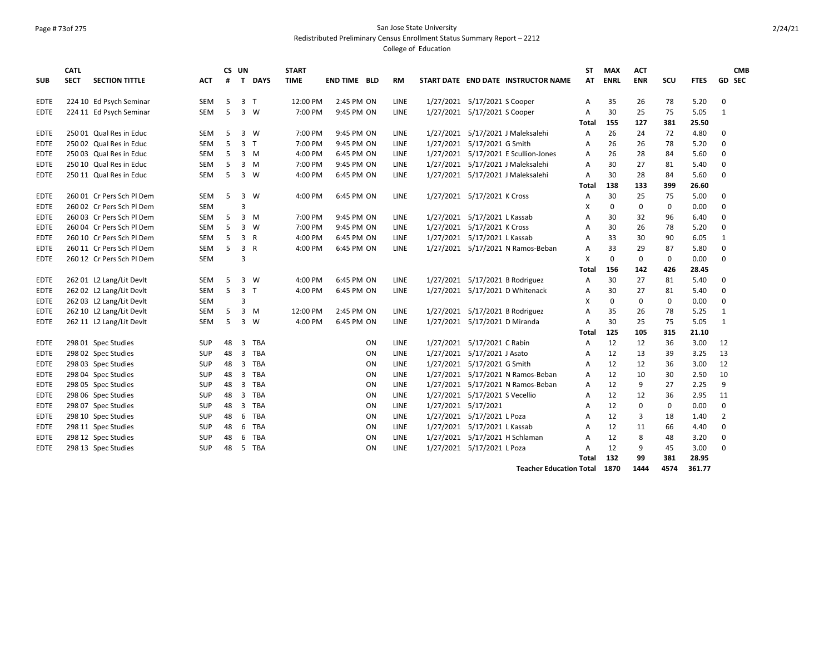# Page # 73of 275 San Jose State University

Redistributed Preliminary Census Enrollment Status Summary Report – 2212

College of Education

|             | <b>CATL</b> |                           |            |    | CS UN          |              | <b>START</b> |                     |           |           |           |                                      | <b>ST</b>    | <b>MAX</b>  | <b>ACT</b>  |     |             | <b>CMB</b>     |
|-------------|-------------|---------------------------|------------|----|----------------|--------------|--------------|---------------------|-----------|-----------|-----------|--------------------------------------|--------------|-------------|-------------|-----|-------------|----------------|
| <b>SUB</b>  | <b>SECT</b> | <b>SECTION TITTLE</b>     | <b>ACT</b> | #  |                | T DAYS       | <b>TIME</b>  | <b>END TIME BLD</b> |           | <b>RM</b> |           | START DATE END DATE INSTRUCTOR NAME  | AT           | <b>ENRL</b> | <b>ENR</b>  | SCU | <b>FTES</b> | <b>GD SEC</b>  |
| <b>EDTE</b> |             | 224 10 Ed Psych Seminar   | <b>SEM</b> | 5  | 3              | $\mathsf{T}$ | 12:00 PM     | 2:45 PM ON          |           | LINE      |           | 1/27/2021 5/17/2021 S Cooper         | A            | 35          | 26          | 78  | 5.20        | 0              |
| <b>EDTE</b> |             | 224 11 Ed Psych Seminar   | <b>SEM</b> | 5  | $\overline{3}$ | W            | 7:00 PM      | 9:45 PM ON          |           | LINE      |           | 1/27/2021 5/17/2021 S Cooper         | A            | 30          | 25          | 75  | 5.05        | 1              |
|             |             |                           |            |    |                |              |              |                     |           |           |           |                                      | Total        | 155         | 127         | 381 | 25.50       |                |
| <b>EDTE</b> |             | 250 01 Qual Res in Educ   | <b>SEM</b> | 5  | 3              | W            | 7:00 PM      | 9:45 PM ON          |           | LINE      |           | 1/27/2021 5/17/2021 J Maleksalehi    | A            | 26          | 24          | 72  | 4.80        | $\Omega$       |
| <b>EDTE</b> |             | 250 02 Qual Res in Educ   | <b>SEM</b> | 5  | 3              | T            | 7:00 PM      | 9:45 PM ON          |           | LINE      |           | 1/27/2021 5/17/2021 G Smith          | A            | 26          | 26          | 78  | 5.20        | $\mathbf 0$    |
| <b>EDTE</b> |             | 250 03 Qual Res in Educ   | <b>SEM</b> | 5  | $\overline{3}$ | M            | 4:00 PM      | 6:45 PM ON          |           | LINE      |           | 1/27/2021 5/17/2021 E Scullion-Jones | A            | 26          | 28          | 84  | 5.60        | $\mathbf 0$    |
| EDTE        |             | 250 10 Qual Res in Educ   | SEM        | 5  | 3              | M            | 7:00 PM      | 9:45 PM ON          |           | LINE      |           | 1/27/2021 5/17/2021 J Maleksalehi    | Α            | 30          | 27          | 81  | 5.40        | $\mathbf 0$    |
| <b>EDTE</b> |             | 250 11 Qual Res in Educ   | <b>SEM</b> | 5  | $\overline{3}$ | W            | 4:00 PM      | 6:45 PM ON          |           | LINE      |           | 1/27/2021 5/17/2021 J Maleksalehi    | A            | 30          | 28          | 84  | 5.60        | $\Omega$       |
|             |             |                           |            |    |                |              |              |                     |           |           |           |                                      | Total        | 138         | 133         | 399 | 26.60       |                |
| <b>EDTE</b> |             | 260 01 Cr Pers Sch Pl Dem | <b>SEM</b> | 5  | 3              | W            | 4:00 PM      | 6:45 PM ON          |           | LINE      |           | 1/27/2021 5/17/2021 K Cross          | A            | 30          | 25          | 75  | 5.00        | 0              |
| <b>EDTE</b> |             | 260 02 Cr Pers Sch Pl Dem | <b>SEM</b> |    | 3              |              |              |                     |           |           |           |                                      | X            | 0           | $\mathbf 0$ | 0   | 0.00        | 0              |
| <b>EDTE</b> |             | 260 03 Cr Pers Sch Pl Dem | <b>SEM</b> | 5  | 3              | M            | 7:00 PM      | 9:45 PM ON          |           | LINE      | 1/27/2021 | 5/17/2021 L Kassab                   | A            | 30          | 32          | 96  | 6.40        | 0              |
| <b>EDTE</b> |             | 260 04 Cr Pers Sch Pl Dem | <b>SEM</b> | 5  | 3              | W            | 7:00 PM      | 9:45 PM ON          |           | LINE      | 1/27/2021 | 5/17/2021 K Cross                    | A            | 30          | 26          | 78  | 5.20        | 0              |
| <b>EDTE</b> |             | 260 10 Cr Pers Sch Pl Dem | <b>SEM</b> | 5  | 3              | $\mathsf{R}$ | 4:00 PM      | 6:45 PM ON          |           | LINE      | 1/27/2021 | 5/17/2021 L Kassab                   | A            | 33          | 30          | 90  | 6.05        | 1              |
| <b>EDTE</b> |             | 260 11 Cr Pers Sch Pl Dem | <b>SEM</b> | 5  |                | 3 R          | 4:00 PM      | 6:45 PM ON          |           | LINE      | 1/27/2021 | 5/17/2021 N Ramos-Beban              | A            | 33          | 29          | 87  | 5.80        | 0              |
| <b>EDTE</b> |             | 260 12 Cr Pers Sch Pl Dem | <b>SEM</b> |    | 3              |              |              |                     |           |           |           |                                      | $\times$     | $\mathbf 0$ | $\mathbf 0$ | 0   | 0.00        | $\Omega$       |
|             |             |                           |            |    |                |              |              |                     |           |           |           |                                      | <b>Total</b> | 156         | 142         | 426 | 28.45       |                |
| <b>EDTE</b> |             | 262 01 L2 Lang/Lit Devlt  | <b>SEM</b> | 5  | 3              | W            | 4:00 PM      | 6:45 PM ON          |           | LINE      |           | 1/27/2021 5/17/2021 B Rodriguez      | A            | 30          | 27          | 81  | 5.40        | $\Omega$       |
| <b>EDTE</b> |             | 262 02 L2 Lang/Lit Devlt  | <b>SEM</b> | 5  | $\overline{3}$ | $\mathsf{T}$ | 4:00 PM      | 6:45 PM ON          |           | LINE      |           | 1/27/2021 5/17/2021 D Whitenack      | A            | 30          | 27          | 81  | 5.40        | $\mathbf 0$    |
| <b>EDTE</b> |             | 262 03 L2 Lang/Lit Devlt  | <b>SEM</b> |    | 3              |              |              |                     |           |           |           |                                      | X            | $\mathbf 0$ | $\mathbf 0$ | 0   | 0.00        | $\mathbf 0$    |
| <b>EDTE</b> |             | 262 10 L2 Lang/Lit Devlt  | <b>SEM</b> | 5  | 3              | M            | 12:00 PM     | 2:45 PM ON          |           | LINE      | 1/27/2021 | 5/17/2021 B Rodriguez                | A            | 35          | 26          | 78  | 5.25        | $\mathbf{1}$   |
| <b>EDTE</b> |             | 262 11 L2 Lang/Lit Devlt  | <b>SEM</b> | 5  | 3              | W            | 4:00 PM      | 6:45 PM ON          |           | LINE      |           | 1/27/2021 5/17/2021 D Miranda        | A            | 30          | 25          | 75  | 5.05        | $\mathbf{1}$   |
|             |             |                           |            |    |                |              |              |                     |           |           |           |                                      | Total        | 125         | 105         | 315 | 21.10       |                |
| <b>EDTE</b> |             | 298 01 Spec Studies       | <b>SUP</b> | 48 | 3              | <b>TBA</b>   |              |                     | ON        | LINE      | 1/27/2021 | 5/17/2021 C Rabin                    | A            | 12          | 12          | 36  | 3.00        | 12             |
| EDTE        |             | 298 02 Spec Studies       | SUP        | 48 | 3              | <b>TBA</b>   |              |                     | ON        | LINE      | 1/27/2021 | 5/17/2021 J Asato                    | Α            | 12          | 13          | 39  | 3.25        | 13             |
| <b>EDTE</b> |             | 298 03 Spec Studies       | SUP        | 48 | 3              | <b>TBA</b>   |              |                     | ON        | LINE      | 1/27/2021 | 5/17/2021 G Smith                    | A            | 12          | 12          | 36  | 3.00        | 12             |
| EDTE        |             | 298 04 Spec Studies       | SUP        | 48 | 3              | <b>TBA</b>   |              |                     | <b>ON</b> | LINE      | 1/27/2021 | 5/17/2021 N Ramos-Beban              | A            | 12          | 10          | 30  | 2.50        | 10             |
| <b>EDTE</b> |             | 298 05 Spec Studies       | <b>SUP</b> | 48 | 3              | <b>TBA</b>   |              |                     | ON.       | LINE      | 1/27/2021 | 5/17/2021 N Ramos-Beban              | A            | 12          | 9           | 27  | 2.25        | 9              |
| <b>EDTE</b> |             | 298 06 Spec Studies       | <b>SUP</b> | 48 | 3              | TBA          |              |                     | ON        | LINE      | 1/27/2021 | 5/17/2021 S Vecellio                 | Α            | 12          | 12          | 36  | 2.95        | 11             |
| EDTE        |             | 298 07 Spec Studies       | <b>SUP</b> | 48 | 3              | <b>TBA</b>   |              |                     | <b>ON</b> | LINE      | 1/27/2021 | 5/17/2021                            | Α            | 12          | 0           | 0   | 0.00        | 0              |
| <b>EDTE</b> |             | 298 10 Spec Studies       | SUP        | 48 | 6              | <b>TBA</b>   |              |                     | ON.       | LINE      |           | 1/27/2021 5/17/2021 L Poza           | A            | 12          | 3           | 18  | 1.40        | $\overline{2}$ |
| <b>EDTE</b> |             | 298 11 Spec Studies       | SUP        | 48 | 6              | <b>TBA</b>   |              |                     | ON.       | LINE      |           | 1/27/2021 5/17/2021 L Kassab         | A            | 12          | 11          | 66  | 4.40        | $\mathbf 0$    |
| <b>EDTE</b> |             | 298 12 Spec Studies       | <b>SUP</b> | 48 | 6              | <b>TBA</b>   |              |                     | <b>ON</b> | LINE      |           | 1/27/2021 5/17/2021 H Schlaman       | A            | 12          | 8           | 48  | 3.20        | $\mathbf 0$    |
| <b>EDTE</b> |             | 298 13 Spec Studies       | <b>SUP</b> | 48 | 5              | <b>TBA</b>   |              |                     | ON        | LINE      | 1/27/2021 | 5/17/2021 L Poza                     | A            | 12          | 9           | 45  | 3.00        | $\mathbf 0$    |
|             |             |                           |            |    |                |              |              |                     |           |           |           |                                      | <b>Total</b> | 132         | 99          | 381 | 28.95       |                |

**Teacher Education Total 1870 1444 4574 361.77**